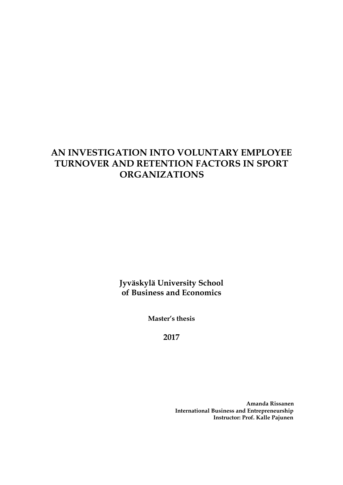# **AN INVESTIGATION INTO VOLUNTARY EMPLOYEE TURNOVER AND RETENTION FACTORS IN SPORT ORGANIZATIONS**

**Jyväskylä University School of Business and Economics**

**Master's thesis**

**2017**

 **Amanda Rissanen International Business and Entrepreneurship Instructor: Prof. Kalle Pajunen**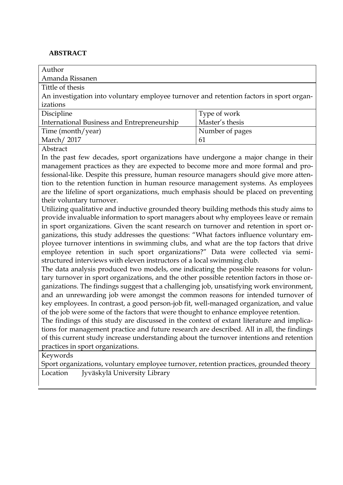### <span id="page-1-0"></span>**ABSTRACT**

| Author                                                                                  |                 |  |  |
|-----------------------------------------------------------------------------------------|-----------------|--|--|
| Amanda Rissanen                                                                         |                 |  |  |
| Tittle of thesis                                                                        |                 |  |  |
| An investigation into voluntary employee turnover and retention factors in sport organ- |                 |  |  |
| izations                                                                                |                 |  |  |
| Discipline                                                                              | Type of work    |  |  |
| International Business and Entrepreneurship                                             | Master's thesis |  |  |
| Time (month/year)                                                                       | Number of pages |  |  |
| March/2017                                                                              | 61              |  |  |
|                                                                                         |                 |  |  |

Abstract

In the past few decades, sport organizations have undergone a major change in their management practices as they are expected to become more and more formal and professional-like. Despite this pressure, human resource managers should give more attention to the retention function in human resource management systems. As employees are the lifeline of sport organizations, much emphasis should be placed on preventing their voluntary turnover.

Utilizing qualitative and inductive grounded theory building methods this study aims to provide invaluable information to sport managers about why employees leave or remain in sport organizations. Given the scant research on turnover and retention in sport organizations, this study addresses the questions: "What factors influence voluntary employee turnover intentions in swimming clubs, and what are the top factors that drive employee retention in such sport organizations?" Data were collected via semistructured interviews with eleven instructors of a local swimming club.

The data analysis produced two models, one indicating the possible reasons for voluntary turnover in sport organizations, and the other possible retention factors in those organizations. The findings suggest that a challenging job, unsatisfying work environment, and an unrewarding job were amongst the common reasons for intended turnover of key employees. In contrast, a good person-job fit, well-managed organization, and value of the job were some of the factors that were thought to enhance employee retention.

The findings of this study are discussed in the context of extant literature and implications for management practice and future research are described. All in all, the findings of this current study increase understanding about the turnover intentions and retention practices in sport organizations.

Keywords

Sport organizations, voluntary employee turnover, retention practices, grounded theory Location Jyväskylä University Library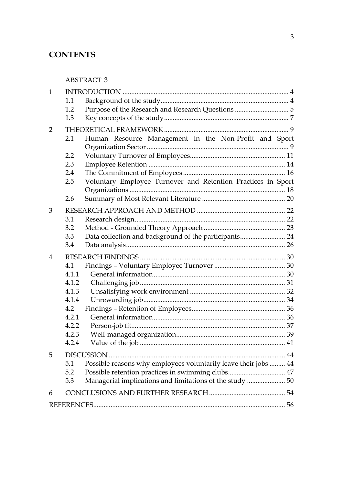## **CONTENTS**

[ABSTRACT](#page-1-0) 3

| $\mathbf{1}$   |                  |                                                                 |    |
|----------------|------------------|-----------------------------------------------------------------|----|
|                | 1.1              |                                                                 |    |
|                | 1.2              |                                                                 |    |
|                | 1.3              |                                                                 |    |
| $\overline{2}$ |                  |                                                                 |    |
|                | 2.1              | Human Resource Management in the Non-Profit and Sport           |    |
|                |                  |                                                                 |    |
|                | $2.2\phantom{0}$ |                                                                 |    |
|                | 2.3              |                                                                 |    |
|                | 2.4              |                                                                 |    |
|                | 2.5              | Voluntary Employee Turnover and Retention Practices in Sport    |    |
|                |                  |                                                                 |    |
|                | 2.6              |                                                                 |    |
| 3              |                  |                                                                 |    |
|                | 3.1              |                                                                 |    |
|                | 3.2              |                                                                 |    |
|                | 3.3              | Data collection and background of the participants 24           |    |
|                | 3.4              |                                                                 |    |
| 4              |                  |                                                                 |    |
|                | 4.1              |                                                                 |    |
|                | 4.1.1            |                                                                 |    |
|                | 4.1.2            |                                                                 |    |
|                | 4.1.3            |                                                                 |    |
|                | 4.1.4            |                                                                 |    |
|                | 4.2              |                                                                 |    |
|                | 4.2.1            |                                                                 |    |
|                | 4.2.2            |                                                                 |    |
|                | 4.2.3            |                                                                 |    |
|                | 4.2.4            |                                                                 |    |
| 5              |                  |                                                                 |    |
|                | 5.1              | Possible reasons why employees voluntarily leave their jobs  44 |    |
|                | 5.2              | Possible retention practices in swimming clubs 47               |    |
|                | 5.3              | Managerial implications and limitations of the study  50        |    |
| 6              |                  |                                                                 |    |
|                |                  |                                                                 | 56 |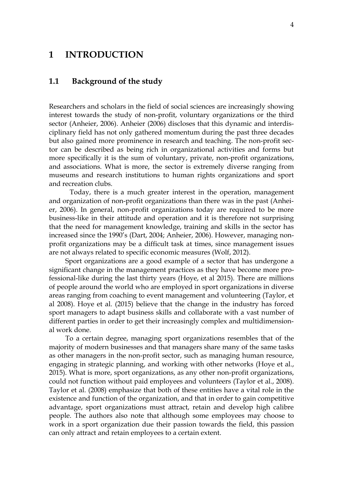## <span id="page-3-0"></span>**1 INTRODUCTION**

### <span id="page-3-1"></span>**1.1 Background of the study**

Researchers and scholars in the field of social sciences are increasingly showing interest towards the study of non-profit, voluntary organizations or the third sector (Anheier, 2006). Anheier (2006) discloses that this dynamic and interdisciplinary field has not only gathered momentum during the past three decades but also gained more prominence in research and teaching. The non-profit sector can be described as being rich in organizational activities and forms but more specifically it is the sum of voluntary, private, non-profit organizations, and associations. What is more, the sector is extremely diverse ranging from museums and research institutions to human rights organizations and sport and recreation clubs.

Today, there is a much greater interest in the operation, management and organization of non-profit organizations than there was in the past (Anheier, 2006). In general, non-profit organizations today are required to be more business-like in their attitude and operation and it is therefore not surprising that the need for management knowledge, training and skills in the sector has increased since the 1990's (Dart, 2004; Anheier, 2006). However, managing nonprofit organizations may be a difficult task at times, since management issues are not always related to specific economic measures (Wolf, 2012).

Sport organizations are a good example of a sector that has undergone a significant change in the management practices as they have become more professional-like during the last thirty years (Hoye, et al 2015). There are millions of people around the world who are employed in sport organizations in diverse areas ranging from coaching to event management and volunteering (Taylor, et al 2008). Hoye et al. (2015) believe that the change in the industry has forced sport managers to adapt business skills and collaborate with a vast number of different parties in order to get their increasingly complex and multidimensional work done.

To a certain degree, managing sport organizations resembles that of the majority of modern businesses and that managers share many of the same tasks as other managers in the non-profit sector, such as managing human resource, engaging in strategic planning, and working with other networks (Hoye et al., 2015). What is more, sport organizations, as any other non-profit organizations, could not function without paid employees and volunteers (Taylor et al., 2008). Taylor et al. (2008) emphasize that both of these entities have a vital role in the existence and function of the organization, and that in order to gain competitive advantage, sport organizations must attract, retain and develop high calibre people. The authors also note that although some employees may choose to work in a sport organization due their passion towards the field, this passion can only attract and retain employees to a certain extent.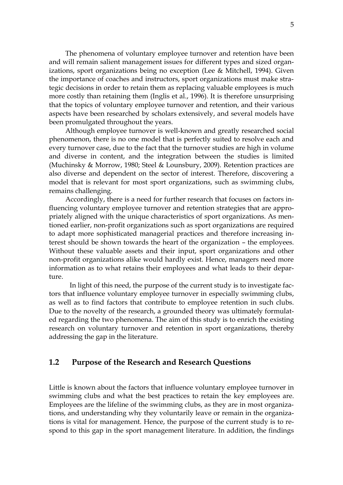The phenomena of voluntary employee turnover and retention have been and will remain salient management issues for different types and sized organizations, sport organizations being no exception (Lee & Mitchell, 1994). Given the importance of coaches and instructors, sport organizations must make strategic decisions in order to retain them as replacing valuable employees is much more costly than retaining them (Inglis et al., 1996). It is therefore unsurprising that the topics of voluntary employee turnover and retention, and their various aspects have been researched by scholars extensively, and several models have been promulgated throughout the years.

Although employee turnover is well-known and greatly researched social phenomenon, there is no one model that is perfectly suited to resolve each and every turnover case, due to the fact that the turnover studies are high in volume and diverse in content, and the integration between the studies is limited (Muchinsky & Morrow, 1980; Steel & Lounsbury, 2009). Retention practices are also diverse and dependent on the sector of interest. Therefore, discovering a model that is relevant for most sport organizations, such as swimming clubs, remains challenging.

Accordingly, there is a need for further research that focuses on factors influencing voluntary employee turnover and retention strategies that are appropriately aligned with the unique characteristics of sport organizations. As mentioned earlier, non-profit organizations such as sport organizations are required to adapt more sophisticated managerial practices and therefore increasing interest should be shown towards the heart of the organization – the employees. Without these valuable assets and their input, sport organizations and other non-profit organizations alike would hardly exist. Hence, managers need more information as to what retains their employees and what leads to their departure.

In light of this need, the purpose of the current study is to investigate factors that influence voluntary employee turnover in especially swimming clubs, as well as to find factors that contribute to employee retention in such clubs. Due to the novelty of the research, a grounded theory was ultimately formulated regarding the two phenomena. The aim of this study is to enrich the existing research on voluntary turnover and retention in sport organizations, thereby addressing the gap in the literature.

### <span id="page-4-0"></span>**1.2 Purpose of the Research and Research Questions**

Little is known about the factors that influence voluntary employee turnover in swimming clubs and what the best practices to retain the key employees are. Employees are the lifeline of the swimming clubs, as they are in most organizations, and understanding why they voluntarily leave or remain in the organizations is vital for management. Hence, the purpose of the current study is to respond to this gap in the sport management literature. In addition, the findings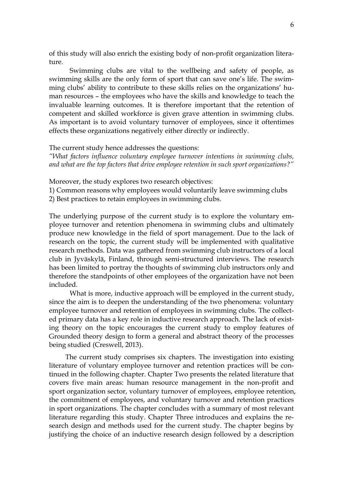of this study will also enrich the existing body of non-profit organization literature.

Swimming clubs are vital to the wellbeing and safety of people, as swimming skills are the only form of sport that can save one's life. The swimming clubs' ability to contribute to these skills relies on the organizations' human resources – the employees who have the skills and knowledge to teach the invaluable learning outcomes. It is therefore important that the retention of competent and skilled workforce is given grave attention in swimming clubs. As important is to avoid voluntary turnover of employees, since it oftentimes effects these organizations negatively either directly or indirectly.

The current study hence addresses the questions:

*"What factors influence voluntary employee turnover intentions in swimming clubs, and what are the top factors that drive employee retention in such sport organizations?"*

Moreover, the study explores two research objectives:

1) Common reasons why employees would voluntarily leave swimming clubs

2) Best practices to retain employees in swimming clubs.

The underlying purpose of the current study is to explore the voluntary employee turnover and retention phenomena in swimming clubs and ultimately produce new knowledge in the field of sport management. Due to the lack of research on the topic, the current study will be implemented with qualitative research methods. Data was gathered from swimming club instructors of a local club in Jyväskylä, Finland, through semi-structured interviews. The research has been limited to portray the thoughts of swimming club instructors only and therefore the standpoints of other employees of the organization have not been included.

What is more, inductive approach will be employed in the current study, since the aim is to deepen the understanding of the two phenomena: voluntary employee turnover and retention of employees in swimming clubs. The collected primary data has a key role in inductive research approach. The lack of existing theory on the topic encourages the current study to employ features of Grounded theory design to form a general and abstract theory of the processes being studied (Creswell, 2013).

The current study comprises six chapters. The investigation into existing literature of voluntary employee turnover and retention practices will be continued in the following chapter. Chapter Two presents the related literature that covers five main areas: human resource management in the non-profit and sport organization sector, voluntary turnover of employees, employee retention, the commitment of employees, and voluntary turnover and retention practices in sport organizations. The chapter concludes with a summary of most relevant literature regarding this study. Chapter Three introduces and explains the research design and methods used for the current study. The chapter begins by justifying the choice of an inductive research design followed by a description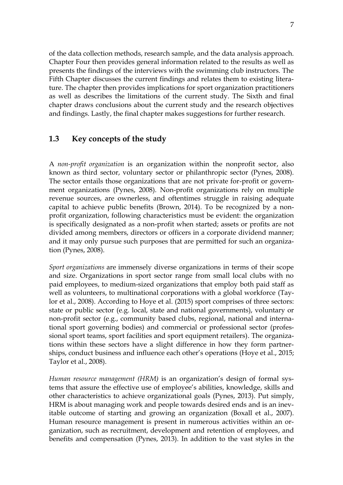of the data collection methods, research sample, and the data analysis approach. Chapter Four then provides general information related to the results as well as presents the findings of the interviews with the swimming club instructors. The Fifth Chapter discusses the current findings and relates them to existing literature. The chapter then provides implications for sport organization practitioners as well as describes the limitations of the current study. The Sixth and final chapter draws conclusions about the current study and the research objectives and findings. Lastly, the final chapter makes suggestions for further research.

## <span id="page-6-0"></span>**1.3 Key concepts of the study**

A *non-profit organization* is an organization within the nonprofit sector, also known as third sector, voluntary sector or philanthropic sector (Pynes, 2008). The sector entails those organizations that are not private for-profit or government organizations (Pynes, 2008). Non-profit organizations rely on multiple revenue sources, are ownerless, and oftentimes struggle in raising adequate capital to achieve public benefits (Brown, 2014). To be recognized by a nonprofit organization, following characteristics must be evident: the organization is specifically designated as a non-profit when started; assets or profits are not divided among members, directors or officers in a corporate dividend manner; and it may only pursue such purposes that are permitted for such an organization (Pynes, 2008).

*Sport organizations* are immensely diverse organizations in terms of their scope and size. Organizations in sport sector range from small local clubs with no paid employees, to medium-sized organizations that employ both paid staff as well as volunteers, to multinational corporations with a global workforce (Taylor et al., 2008). According to Hoye et al. (2015) sport comprises of three sectors: state or public sector (e.g. local, state and national governments), voluntary or non-profit sector (e.g., community based clubs, regional, national and international sport governing bodies) and commercial or professional sector (professional sport teams, sport facilities and sport equipment retailers). The organizations within these sectors have a slight difference in how they form partnerships, conduct business and influence each other's operations (Hoye et al., 2015; Taylor et al., 2008).

*Human resource management (HRM)* is an organization's design of formal systems that assure the effective use of employee's abilities, knowledge, skills and other characteristics to achieve organizational goals (Pynes, 2013). Put simply, HRM is about managing work and people towards desired ends and is an inevitable outcome of starting and growing an organization (Boxall et al., 2007). Human resource management is present in numerous activities within an organization, such as recruitment, development and retention of employees, and benefits and compensation (Pynes, 2013). In addition to the vast styles in the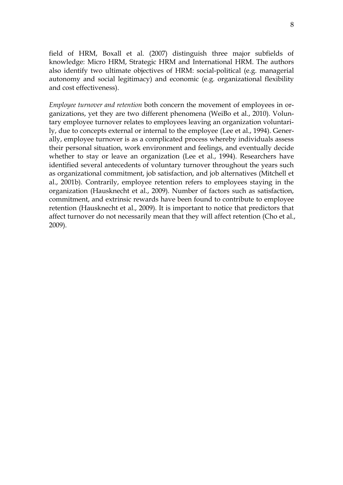field of HRM, Boxall et al. (2007) distinguish three major subfields of knowledge: Micro HRM, Strategic HRM and International HRM. The authors also identify two ultimate objectives of HRM: social-political (e.g. managerial autonomy and social legitimacy) and economic (e.g. organizational flexibility and cost effectiveness).

*Employee turnover and retention* both concern the movement of employees in organizations, yet they are two different phenomena (WeiBo et al., 2010). Voluntary employee turnover relates to employees leaving an organization voluntarily, due to concepts external or internal to the employee (Lee et al., 1994). Generally, employee turnover is as a complicated process whereby individuals assess their personal situation, work environment and feelings, and eventually decide whether to stay or leave an organization (Lee et al., 1994). Researchers have identified several antecedents of voluntary turnover throughout the years such as organizational commitment, job satisfaction, and job alternatives (Mitchell et al., 2001b). Contrarily, employee retention refers to employees staying in the organization (Hausknecht et al., 2009). Number of factors such as satisfaction, commitment, and extrinsic rewards have been found to contribute to employee retention (Hausknecht et al., 2009). It is important to notice that predictors that affect turnover do not necessarily mean that they will affect retention (Cho et al., 2009).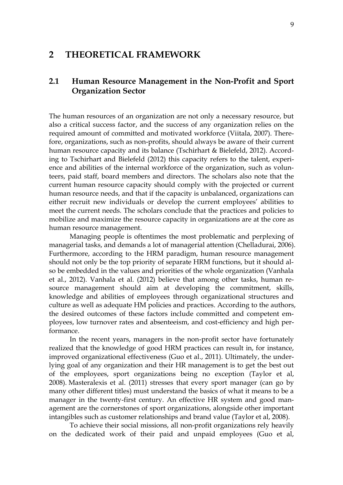## <span id="page-8-0"></span>**2 THEORETICAL FRAMEWORK**

## <span id="page-8-1"></span>**2.1 Human Resource Management in the Non-Profit and Sport Organization Sector**

The human resources of an organization are not only a necessary resource, but also a critical success factor, and the success of any organization relies on the required amount of committed and motivated workforce (Viitala, 2007). Therefore, organizations, such as non-profits, should always be aware of their current human resource capacity and its balance (Tschirhart & Bielefeld, 2012). According to Tschirhart and Bielefeld (2012) this capacity refers to the talent, experience and abilities of the internal workforce of the organization, such as volunteers, paid staff, board members and directors. The scholars also note that the current human resource capacity should comply with the projected or current human resource needs, and that if the capacity is unbalanced, organizations can either recruit new individuals or develop the current employees' abilities to meet the current needs. The scholars conclude that the practices and policies to mobilize and maximize the resource capacity in organizations are at the core as human resource management.

Managing people is oftentimes the most problematic and perplexing of managerial tasks, and demands a lot of managerial attention (Chelladurai, 2006). Furthermore, according to the HRM paradigm, human resource management should not only be the top priority of separate HRM functions, but it should also be embedded in the values and priorities of the whole organization (Vanhala et al., 2012). Vanhala et al. (2012) believe that among other tasks, human resource management should aim at developing the commitment, skills, knowledge and abilities of employees through organizational structures and culture as well as adequate HM policies and practices. According to the authors, the desired outcomes of these factors include committed and competent employees, low turnover rates and absenteeism, and cost-efficiency and high performance.

In the recent years, managers in the non-profit sector have fortunately realized that the knowledge of good HRM practices can result in, for instance, improved organizational effectiveness (Guo et al., 2011). Ultimately, the underlying goal of any organization and their HR management is to get the best out of the employees, sport organizations being no exception (Taylor et al, 2008). Masteralexis et al. (2011) stresses that every sport manager (can go by many other different titles) must understand the basics of what it means to be a manager in the twenty-first century. An effective HR system and good management are the cornerstones of sport organizations, alongside other important intangibles such as customer relationships and brand value (Taylor et al, 2008).

To achieve their social missions, all non-profit organizations rely heavily on the dedicated work of their paid and unpaid employees (Guo et al,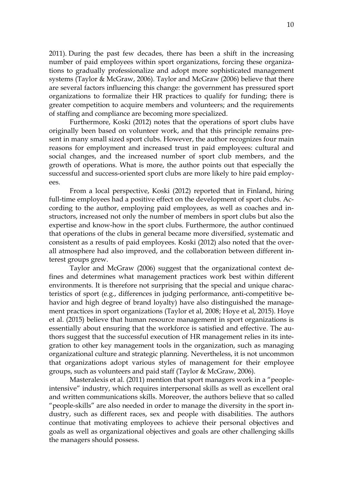2011). During the past few decades, there has been a shift in the increasing number of paid employees within sport organizations, forcing these organizations to gradually professionalize and adopt more sophisticated management systems (Taylor & McGraw, 2006). Taylor and McGraw (2006) believe that there are several factors influencing this change: the government has pressured sport organizations to formalize their HR practices to qualify for funding; there is greater competition to acquire members and volunteers; and the requirements of staffing and compliance are becoming more specialized.

Furthermore, Koski (2012) notes that the operations of sport clubs have originally been based on volunteer work, and that this principle remains present in many small sized sport clubs. However, the author recognizes four main reasons for employment and increased trust in paid employees: cultural and social changes, and the increased number of sport club members, and the growth of operations. What is more, the author points out that especially the successful and success-oriented sport clubs are more likely to hire paid employees.

From a local perspective, Koski (2012) reported that in Finland, hiring full-time employees had a positive effect on the development of sport clubs. According to the author, employing paid employees, as well as coaches and instructors, increased not only the number of members in sport clubs but also the expertise and know-how in the sport clubs. Furthermore, the author continued that operations of the clubs in general became more diversified, systematic and consistent as a results of paid employees. Koski (2012) also noted that the overall atmosphere had also improved, and the collaboration between different interest groups grew.

Taylor and McGraw (2006) suggest that the organizational context defines and determines what management practices work best within different environments. It is therefore not surprising that the special and unique characteristics of sport (e.g., differences in judging performance, anti-competitive behavior and high degree of brand loyalty) have also distinguished the management practices in sport organizations (Taylor et al, 2008; Hoye et al, 2015). Hoye et al. (2015) believe that human resource management in sport organizations is essentially about ensuring that the workforce is satisfied and effective. The authors suggest that the successful execution of HR management relies in its integration to other key management tools in the organization, such as managing organizational culture and strategic planning. Nevertheless, it is not uncommon that organizations adopt various styles of management for their employee groups, such as volunteers and paid staff (Taylor & McGraw, 2006).

Masteralexis et al. (2011) mention that sport managers work in a "peopleintensive" industry, which requires interpersonal skills as well as excellent oral and written communications skills. Moreover, the authors believe that so called "people-skills" are also needed in order to manage the diversity in the sport industry, such as different races, sex and people with disabilities. The authors continue that motivating employees to achieve their personal objectives and goals as well as organizational objectives and goals are other challenging skills the managers should possess.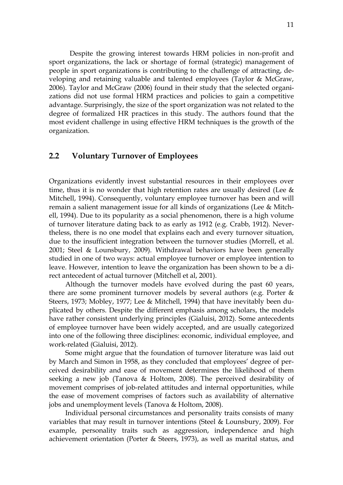Despite the growing interest towards HRM policies in non-profit and sport organizations, the lack or shortage of formal (strategic) management of people in sport organizations is contributing to the challenge of attracting, developing and retaining valuable and talented employees (Taylor & McGraw, 2006). Taylor and McGraw (2006) found in their study that the selected organizations did not use formal HRM practices and policies to gain a competitive advantage. Surprisingly, the size of the sport organization was not related to the degree of formalized HR practices in this study. The authors found that the most evident challenge in using effective HRM techniques is the growth of the organization.

## <span id="page-10-0"></span>**2.2 Voluntary Turnover of Employees**

Organizations evidently invest substantial resources in their employees over time, thus it is no wonder that high retention rates are usually desired (Lee  $\&$ Mitchell, 1994). Consequently, voluntary employee turnover has been and will remain a salient management issue for all kinds of organizations (Lee & Mitchell, 1994). Due to its popularity as a social phenomenon, there is a high volume of turnover literature dating back to as early as 1912 (e.g. Crabb, 1912). Nevertheless, there is no one model that explains each and every turnover situation, due to the insufficient integration between the turnover studies (Morrell, et al. 2001; Steel & Lounsbury, 2009). Withdrawal behaviors have been generally studied in one of two ways: actual employee turnover or employee intention to leave. However, intention to leave the organization has been shown to be a direct antecedent of actual turnover (Mitchell et al, 2001).

Although the turnover models have evolved during the past 60 years, there are some prominent turnover models by several authors (e.g. Porter & Steers, 1973; Mobley, 1977; Lee & Mitchell, 1994) that have inevitably been duplicated by others. Despite the different emphasis among scholars, the models have rather consistent underlying principles (Gialuisi, 2012). Some antecedents of employee turnover have been widely accepted, and are usually categorized into one of the following three disciplines: economic, individual employee, and work-related (Gialuisi, 2012).

Some might argue that the foundation of turnover literature was laid out by March and Simon in 1958, as they concluded that employees' degree of perceived desirability and ease of movement determines the likelihood of them seeking a new job (Tanova & Holtom, 2008). The perceived desirability of movement comprises of job-related attitudes and internal opportunities, while the ease of movement comprises of factors such as availability of alternative jobs and unemployment levels (Tanova & Holtom, 2008).

Individual personal circumstances and personality traits consists of many variables that may result in turnover intentions (Steel & Lounsbury, 2009). For example, personality traits such as aggression, independence and high achievement orientation (Porter & Steers, 1973), as well as marital status, and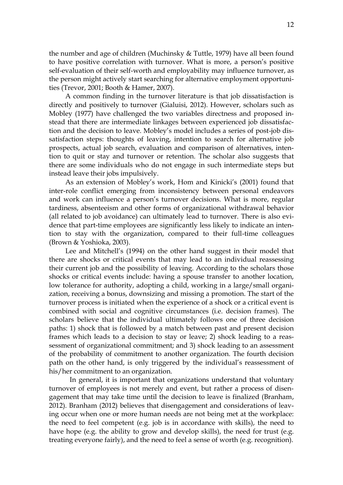the number and age of children (Muchinsky & Tuttle, 1979) have all been found to have positive correlation with turnover. What is more, a person's positive self-evaluation of their self-worth and employability may influence turnover, as the person might actively start searching for alternative employment opportunities (Trevor, 2001; Booth & Hamer, 2007).

A common finding in the turnover literature is that job dissatisfaction is directly and positively to turnover (Gialuisi, 2012). However, scholars such as Mobley (1977) have challenged the two variables directness and proposed instead that there are intermediate linkages between experienced job dissatisfaction and the decision to leave. Mobley's model includes a series of post-job dissatisfaction steps: thoughts of leaving, intention to search for alternative job prospects, actual job search, evaluation and comparison of alternatives, intention to quit or stay and turnover or retention. The scholar also suggests that there are some individuals who do not engage in such intermediate steps but instead leave their jobs impulsively.

As an extension of Mobley's work, Hom and Kinicki's (2001) found that inter-role conflict emerging from inconsistency between personal endeavors and work can influence a person's turnover decisions. What is more, regular tardiness, absenteeism and other forms of organizational withdrawal behavior (all related to job avoidance) can ultimately lead to turnover. There is also evidence that part-time employees are significantly less likely to indicate an intention to stay with the organization, compared to their full-time colleagues (Brown & Yoshioka, 2003).

Lee and Mitchell's (1994) on the other hand suggest in their model that there are shocks or critical events that may lead to an individual reassessing their current job and the possibility of leaving. According to the scholars those shocks or critical events include: having a spouse transfer to another location, low tolerance for authority, adopting a child, working in a large/small organization, receiving a bonus, downsizing and missing a promotion. The start of the turnover process is initiated when the experience of a shock or a critical event is combined with social and cognitive circumstances (i.e. decision frames). The scholars believe that the individual ultimately follows one of three decision paths: 1) shock that is followed by a match between past and present decision frames which leads to a decision to stay or leave; 2) shock leading to a reassessment of organizational commitment; and 3) shock leading to an assessment of the probability of commitment to another organization. The fourth decision path on the other hand, is only triggered by the individual's reassessment of his/her commitment to an organization.

In general, it is important that organizations understand that voluntary turnover of employees is not merely and event, but rather a process of disengagement that may take time until the decision to leave is finalized (Branham, 2012). Branham (2012) believes that disengagement and considerations of leaving occur when one or more human needs are not being met at the workplace: the need to feel competent (e.g. job is in accordance with skills), the need to have hope (e.g. the ability to grow and develop skills), the need for trust (e.g. treating everyone fairly), and the need to feel a sense of worth (e.g. recognition).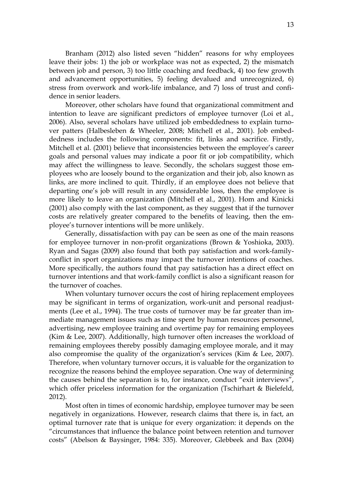Branham (2012) also listed seven "hidden" reasons for why employees leave their jobs: 1) the job or workplace was not as expected, 2) the mismatch between job and person, 3) too little coaching and feedback, 4) too few growth and advancement opportunities, 5) feeling devalued and unrecognized, 6) stress from overwork and work-life imbalance, and 7) loss of trust and confidence in senior leaders.

Moreover, other scholars have found that organizational commitment and intention to leave are significant predictors of employee turnover (Loi et al., 2006). Also, several scholars have utilized job embeddedness to explain turnover patters (Halbesleben & Wheeler, 2008; Mitchell et al., 2001). Job embeddedness includes the following components: fit, links and sacrifice. Firstly, Mitchell et al. (2001) believe that inconsistencies between the employee's career goals and personal values may indicate a poor fit or job compatibility, which may affect the willingness to leave. Secondly, the scholars suggest those employees who are loosely bound to the organization and their job, also known as links, are more inclined to quit. Thirdly, if an employee does not believe that departing one's job will result in any considerable loss, then the employee is more likely to leave an organization (Mitchell et al., 2001). Hom and Kinicki (2001) also comply with the last component, as they suggest that if the turnover costs are relatively greater compared to the benefits of leaving, then the employee's turnover intentions will be more unlikely.

Generally, dissatisfaction with pay can be seen as one of the main reasons for employee turnover in non-profit organizations (Brown & Yoshioka, 2003). Ryan and Sagas (2009) also found that both pay satisfaction and work-familyconflict in sport organizations may impact the turnover intentions of coaches. More specifically, the authors found that pay satisfaction has a direct effect on turnover intentions and that work-family conflict is also a significant reason for the turnover of coaches.

When voluntary turnover occurs the cost of hiring replacement employees may be significant in terms of organization, work-unit and personal readjustments (Lee et al., 1994). The true costs of turnover may be far greater than immediate management issues such as time spent by human resources personnel, advertising, new employee training and overtime pay for remaining employees (Kim & Lee, 2007). Additionally, high turnover often increases the workload of remaining employees thereby possibly damaging employee morale, and it may also compromise the quality of the organization's services (Kim & Lee, 2007). Therefore, when voluntary turnover occurs, it is valuable for the organization to recognize the reasons behind the employee separation. One way of determining the causes behind the separation is to, for instance, conduct "exit interviews", which offer priceless information for the organization (Tschirhart & Bielefeld, 2012).

Most often in times of economic hardship, employee turnover may be seen negatively in organizations. However, research claims that there is, in fact, an optimal turnover rate that is unique for every organization: it depends on the "circumstances that influence the balance point between retention and turnover costs" (Abelson & Baysinger, 1984: 335). Moreover, Glebbeek and Bax (2004)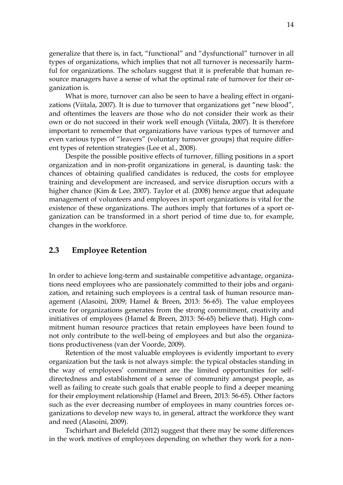generalize that there is, in fact, "functional" and "dysfunctional" turnover in all types of organizations, which implies that not all turnover is necessarily harmful for organizations. The scholars suggest that it is preferable that human resource managers have a sense of what the optimal rate of turnover for their organization is.

What is more, turnover can also be seen to have a healing effect in organizations (Viitala, 2007). It is due to turnover that organizations get "new blood", and oftentimes the leavers are those who do not consider their work as their own or do not succeed in their work well enough (Viitala, 2007). It is therefore important to remember that organizations have various types of turnover and even various types of "leavers" (voluntary turnover groups) that require different types of retention strategies (Lee et al., 2008).

Despite the possible positive effects of turnover, filling positions in a sport organization and in non-profit organizations in general, is daunting task: the chances of obtaining qualified candidates is reduced, the costs for employee training and development are increased, and service disruption occurs with a higher chance (Kim & Lee, 2007). Taylor et al. (2008) hence argue that adequate management of volunteers and employees in sport organizations is vital for the existence of these organizations. The authors imply that fortunes of a sport organization can be transformed in a short period of time due to, for example, changes in the workforce.

## <span id="page-13-0"></span>**2.3 Employee Retention**

In order to achieve long-term and sustainable competitive advantage, organizations need employees who are passionately committed to their jobs and organization, and retaining such employees is a central task of human resource management (Alasoini, 2009; Hamel & Breen, 2013: 56-65). The value employees create for organizations generates from the strong commitment, creativity and initiatives of employees (Hamel & Breen, 2013: 56-65) believe that). High commitment human resource practices that retain employees have been found to not only contribute to the well-being of employees and but also the organizations productiveness (van der Voorde, 2009).

Retention of the most valuable employees is evidently important to every organization but the task is not always simple: the typical obstacles standing in the way of employees' commitment are the limited opportunities for selfdirectedness and establishment of a sense of community amongst people, as well as failing to create such goals that enable people to find a deeper meaning for their employment relationship (Hamel and Breen, 2013: 56-65). Other factors such as the ever decreasing number of employees in many countries forces organizations to develop new ways to, in general, attract the workforce they want and need (Alasoini, 2009).

Tschirhart and Bielefeld (2012) suggest that there may be some differences in the work motives of employees depending on whether they work for a non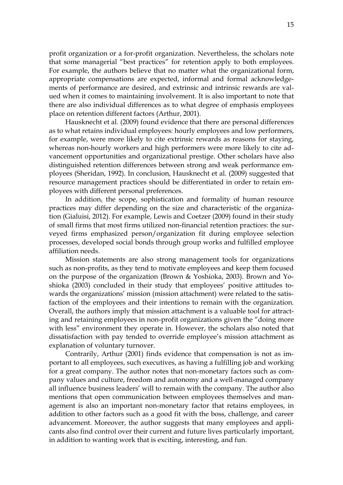profit organization or a for-profit organization. Nevertheless, the scholars note that some managerial "best practices" for retention apply to both employees. For example, the authors believe that no matter what the organizational form, appropriate compensations are expected, informal and formal acknowledgements of performance are desired, and extrinsic and intrinsic rewards are valued when it comes to maintaining involvement. It is also important to note that there are also individual differences as to what degree of emphasis employees place on retention different factors (Arthur, 2001).

Hausknecht et al. (2009) found evidence that there are personal differences as to what retains individual employees: hourly employees and low performers, for example, were more likely to cite extrinsic rewards as reasons for staying, whereas non-hourly workers and high performers were more likely to cite advancement opportunities and organizational prestige. Other scholars have also distinguished retention differences between strong and weak performance employees (Sheridan, 1992). In conclusion, Hausknecht et al. (2009) suggested that resource management practices should be differentiated in order to retain employees with different personal preferences.

In addition, the scope, sophistication and formality of human resource practices may differ depending on the size and characteristic of the organization (Gialuisi, 2012). For example, Lewis and Coetzer (2009) found in their study of small firms that most firms utilized non-financial retention practices: the surveyed firms emphasized person/organization fit during employee selection processes, developed social bonds through group works and fulfilled employee affiliation needs.

Mission statements are also strong management tools for organizations such as non-profits, as they tend to motivate employees and keep them focused on the purpose of the organization (Brown & Yoshioka, 2003). Brown and Yoshioka (2003) concluded in their study that employees' positive attitudes towards the organizations' mission (mission attachment) were related to the satisfaction of the employees and their intentions to remain with the organization. Overall, the authors imply that mission attachment is a valuable tool for attracting and retaining employees in non-profit organizations given the "doing more with less" environment they operate in. However, the scholars also noted that dissatisfaction with pay tended to override employee's mission attachment as explanation of voluntary turnover.

Contrarily, Arthur (2001) finds evidence that compensation is not as important to all employees, such executives, as having a fulfilling job and working for a great company. The author notes that non-monetary factors such as company values and culture, freedom and autonomy and a well-managed company all influence business leaders' will to remain with the company. The author also mentions that open communication between employees themselves and management is also an important non-monetary factor that retains employees, in addition to other factors such as a good fit with the boss, challenge, and career advancement. Moreover, the author suggests that many employees and applicants also find control over their current and future lives particularly important, in addition to wanting work that is exciting, interesting, and fun.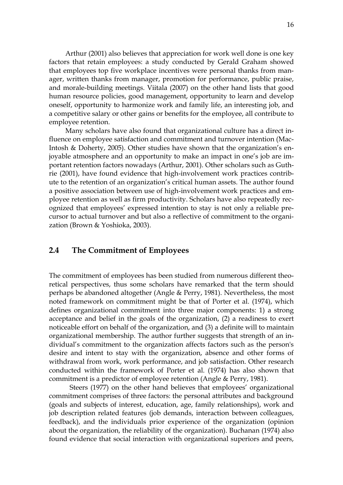Arthur (2001) also believes that appreciation for work well done is one key factors that retain employees: a study conducted by Gerald Graham showed that employees top five workplace incentives were personal thanks from manager, written thanks from manager, promotion for performance, public praise, and morale-building meetings. Viitala (2007) on the other hand lists that good human resource policies, good management, opportunity to learn and develop oneself, opportunity to harmonize work and family life, an interesting job, and a competitive salary or other gains or benefits for the employee, all contribute to employee retention.

Many scholars have also found that organizational culture has a direct influence on employee satisfaction and commitment and turnover intention (Mac-Intosh & Doherty, 2005). Other studies have shown that the organization's enjoyable atmosphere and an opportunity to make an impact in one's job are important retention factors nowadays (Arthur, 2001). Other scholars such as Guthrie (2001), have found evidence that high-involvement work practices contribute to the retention of an organization's critical human assets. The author found a positive association between use of high-involvement work practices and employee retention as well as firm productivity. Scholars have also repeatedly recognized that employees' expressed intention to stay is not only a reliable precursor to actual turnover and but also a reflective of commitment to the organization (Brown & Yoshioka, 2003).

## <span id="page-15-0"></span>**2.4 The Commitment of Employees**

The commitment of employees has been studied from numerous different theoretical perspectives, thus some scholars have remarked that the term should perhaps be abandoned altogether (Angle & Perry, 1981). Nevertheless, the most noted framework on commitment might be that of Porter et al. (1974), which defines organizational commitment into three major components: 1) a strong acceptance and belief in the goals of the organization, (2) a readiness to exert noticeable effort on behalf of the organization, and (3) a definite will to maintain organizational membership. The author further suggests that strength of an individual's commitment to the organization affects factors such as the person's desire and intent to stay with the organization, absence and other forms of withdrawal from work, work performance, and job satisfaction. Other research conducted within the framework of Porter et al. (1974) has also shown that commitment is a predictor of employee retention (Angle & Perry, 1981).

Steers (1977) on the other hand believes that employees' organizational commitment comprises of three factors: the personal attributes and background (goals and subjects of interest, education, age, family relationships), work and job description related features (job demands, interaction between colleagues, feedback), and the individuals prior experience of the organization (opinion about the organization, the reliability of the organization). Buchanan (1974) also found evidence that social interaction with organizational superiors and peers,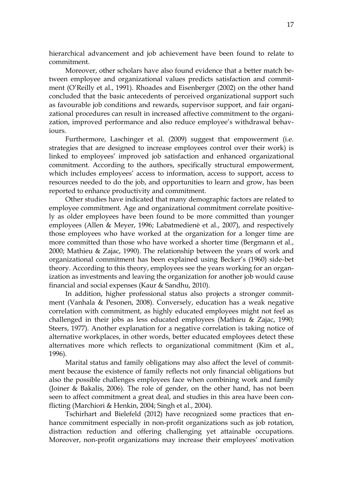hierarchical advancement and job achievement have been found to relate to commitment.

Moreover, other scholars have also found evidence that a better match between employee and organizational values predicts satisfaction and commitment (O'Reilly et al., 1991). Rhoades and Eisenberger (2002) on the other hand concluded that the basic antecedents of perceived organizational support such as favourable job conditions and rewards, supervisor support, and fair organizational procedures can result in increased affective commitment to the organization, improved performance and also reduce employee's withdrawal behaviours.

Furthermore, Laschinger et al. (2009) suggest that empowerment (i.e. strategies that are designed to increase employees control over their work) is linked to employees' improved job satisfaction and enhanced organizational commitment. According to the authors, specifically structural empowerment, which includes employees' access to information, access to support, access to resources needed to do the job, and opportunities to learn and grow, has been reported to enhance productivity and commitment.

Other studies have indicated that many demographic factors are related to employee commitment. Age and organizational commitment correlate positively as older employees have been found to be more committed than younger employees (Allen & Meyer, 1996; Labatmedienè et al., 2007), and respectively those employees who have worked at the organization for a longer time are more committed than those who have worked a shorter time (Bergmann et al., 2000; Mathieu & Zajac, 1990). The relationship between the years of work and organizational commitment has been explained using Becker's (1960) side-bet theory. According to this theory, employees see the years working for an organization as investments and leaving the organization for another job would cause financial and social expenses (Kaur & Sandhu, 2010).

In addition, higher professional status also projects a stronger commitment (Vanhala & Pesonen, 2008). Conversely, education has a weak negative correlation with commitment, as highly educated employees might not feel as challenged in their jobs as less educated employees (Mathieu & Zajac, 1990; Steers, 1977). Another explanation for a negative correlation is taking notice of alternative workplaces, in other words, better educated employees detect these alternatives more which reflects to organizational commitment (Kim et al., 1996).

Marital status and family obligations may also affect the level of commitment because the existence of family reflects not only financial obligations but also the possible challenges employees face when combining work and family (Joiner & Bakalis, 2006). The role of gender, on the other hand, has not been seen to affect commitment a great deal, and studies in this area have been conflicting (Marchiori & Henkin, 2004; Singh et al., 2004).

Tschirhart and Bielefeld (2012) have recognized some practices that enhance commitment especially in non-profit organizations such as job rotation, distraction reduction and offering challenging yet attainable occupations. Moreover, non-profit organizations may increase their employees' motivation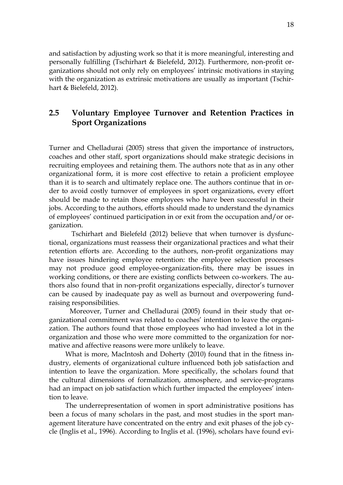and satisfaction by adjusting work so that it is more meaningful, interesting and personally fulfilling (Tschirhart & Bielefeld, 2012). Furthermore, non-profit organizations should not only rely on employees' intrinsic motivations in staying with the organization as extrinsic motivations are usually as important (Tschirhart & Bielefeld, 2012).

## <span id="page-17-0"></span>**2.5 Voluntary Employee Turnover and Retention Practices in Sport Organizations**

Turner and Chelladurai (2005) stress that given the importance of instructors, coaches and other staff, sport organizations should make strategic decisions in recruiting employees and retaining them. The authors note that as in any other organizational form, it is more cost effective to retain a proficient employee than it is to search and ultimately replace one. The authors continue that in order to avoid costly turnover of employees in sport organizations, every effort should be made to retain those employees who have been successful in their jobs. According to the authors, efforts should made to understand the dynamics of employees' continued participation in or exit from the occupation and/or organization.

Tschirhart and Bielefeld (2012) believe that when turnover is dysfunctional, organizations must reassess their organizational practices and what their retention efforts are. According to the authors, non-profit organizations may have issues hindering employee retention: the employee selection processes may not produce good employee-organization-fits, there may be issues in working conditions, or there are existing conflicts between co-workers. The authors also found that in non-profit organizations especially, director's turnover can be caused by inadequate pay as well as burnout and overpowering fundraising responsibilities.

Moreover, Turner and Chelladurai (2005) found in their study that organizational commitment was related to coaches' intention to leave the organization. The authors found that those employees who had invested a lot in the organization and those who were more committed to the organization for normative and affective reasons were more unlikely to leave.

What is more, MacIntosh and Doherty (2010) found that in the fitness industry, elements of organizational culture influenced both job satisfaction and intention to leave the organization. More specifically, the scholars found that the cultural dimensions of formalization, atmosphere, and service-programs had an impact on job satisfaction which further impacted the employees' intention to leave.

The underrepresentation of women in sport administrative positions has been a focus of many scholars in the past, and most studies in the sport management literature have concentrated on the entry and exit phases of the job cycle (Inglis et al., 1996). According to Inglis et al. (1996), scholars have found evi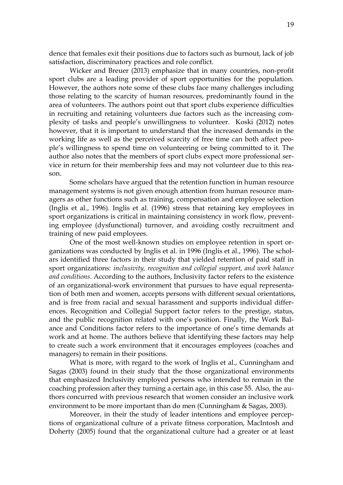dence that females exit their positions due to factors such as burnout, lack of job satisfaction, discriminatory practices and role conflict.

Wicker and Breuer (2013) emphasize that in many countries, non-profit sport clubs are a leading provider of sport opportunities for the population. However, the authors note some of these clubs face many challenges including those relating to the scarcity of human resources, predominantly found in the area of volunteers. The authors point out that sport clubs experience difficulties in recruiting and retaining volunteers due factors such as the increasing complexity of tasks and people's unwillingness to volunteer. Koski (2012) notes however, that it is important to understand that the increased demands in the working life as well as the perceived scarcity of free time can both affect people's willingness to spend time on volunteering or being committed to it. The author also notes that the members of sport clubs expect more professional service in return for their membership fees and may not volunteer due to this reason.

Some scholars have argued that the retention function in human resource management systems is not given enough attention from human resource managers as other functions such as training, compensation and employee selection (Inglis et al., 1996). Inglis et al. (1996) stress that retaining key employees in sport organizations is critical in maintaining consistency in work flow, preventing employee (dysfunctional) turnover, and avoiding costly recruitment and training of new paid employees.

One of the most well-known studies on employee retention in sport organizations was conducted by Inglis et al. in 1996 (Inglis et al., 1996). The scholars identified three factors in their study that yielded retention of paid staff in sport organizations: *inclusivity, recognition and collegial support, and work balance and conditions*. According to the authors, Inclusivity factor refers to the existence of an organizational-work environment that pursues to have equal representation of both men and women, accepts persons with different sexual orientations, and is free from racial and sexual harassment and supports individual differences. Recognition and Collegial Support factor refers to the prestige, status, and the public recognition related with one's position. Finally, the Work Balance and Conditions factor refers to the importance of one's time demands at work and at home. The authors believe that identifying these factors may help to create such a work environment that it encourages employees (coaches and managers) to remain in their positions.

What is more, with regard to the work of Inglis et al., Cunningham and Sagas (2003) found in their study that the those organizational environments that emphasized Inclusivity employed persons who intended to remain in the coaching profession after they turning a certain age, in this case 55. Also, the authors concurred with previous research that women consider an inclusive work environment to be more important than do men (Cunningham & Sagas, 2003).

Moreover, in their the study of leader intentions and employee perceptions of organizational culture of a private fitness corporation, MacIntosh and Doherty (2005) found that the organizational culture had a greater or at least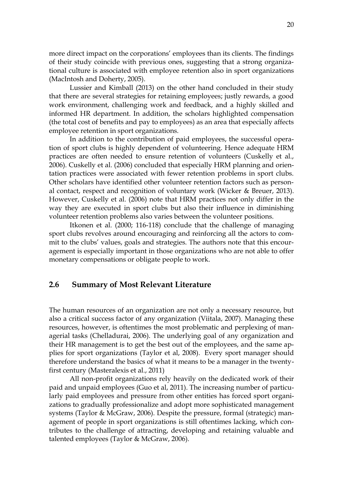more direct impact on the corporations' employees than its clients. The findings of their study coincide with previous ones, suggesting that a strong organizational culture is associated with employee retention also in sport organizations (MacIntosh and Doherty, 2005).

Lussier and Kimball (2013) on the other hand concluded in their study that there are several strategies for retaining employees; justly rewards, a good work environment, challenging work and feedback, and a highly skilled and informed HR department. In addition, the scholars highlighted compensation (the total cost of benefits and pay to employees) as an area that especially affects employee retention in sport organizations.

In addition to the contribution of paid employees, the successful operation of sport clubs is highly dependent of volunteering. Hence adequate HRM practices are often needed to ensure retention of volunteers (Cuskelly et al., 2006). Cuskelly et al. (2006) concluded that especially HRM planning and orientation practices were associated with fewer retention problems in sport clubs. Other scholars have identified other volunteer retention factors such as personal contact, respect and recognition of voluntary work (Wicker & Breuer, 2013). However, Cuskelly et al. (2006) note that HRM practices not only differ in the way they are executed in sport clubs but also their influence in diminishing volunteer retention problems also varies between the volunteer positions.

Itkonen et al. (2000; 116-118) conclude that the challenge of managing sport clubs revolves around encouraging and reinforcing all the actors to commit to the clubs' values, goals and strategies. The authors note that this encouragement is especially important in those organizations who are not able to offer monetary compensations or obligate people to work.

### <span id="page-19-0"></span>**2.6 Summary of Most Relevant Literature**

The human resources of an organization are not only a necessary resource, but also a critical success factor of any organization (Viitala, 2007). Managing these resources, however, is oftentimes the most problematic and perplexing of managerial tasks (Chelladurai, 2006). The underlying goal of any organization and their HR management is to get the best out of the employees, and the same applies for sport organizations (Taylor et al, 2008). Every sport manager should therefore understand the basics of what it means to be a manager in the twentyfirst century (Masteralexis et al., 2011)

All non-profit organizations rely heavily on the dedicated work of their paid and unpaid employees (Guo et al, 2011). The increasing number of particularly paid employees and pressure from other entities has forced sport organizations to gradually professionalize and adopt more sophisticated management systems (Taylor & McGraw, 2006). Despite the pressure, formal (strategic) management of people in sport organizations is still oftentimes lacking, which contributes to the challenge of attracting, developing and retaining valuable and talented employees (Taylor & McGraw, 2006).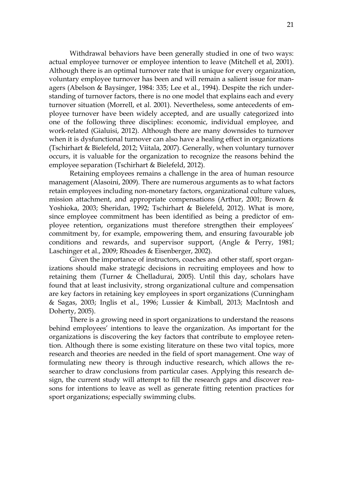Withdrawal behaviors have been generally studied in one of two ways: actual employee turnover or employee intention to leave (Mitchell et al, 2001). Although there is an optimal turnover rate that is unique for every organization, voluntary employee turnover has been and will remain a salient issue for managers (Abelson & Baysinger, 1984: 335; Lee et al., 1994). Despite the rich understanding of turnover factors, there is no one model that explains each and every turnover situation (Morrell, et al. 2001). Nevertheless, some antecedents of employee turnover have been widely accepted, and are usually categorized into one of the following three disciplines: economic, individual employee, and work-related (Gialuisi, 2012). Although there are many downsides to turnover when it is dysfunctional turnover can also have a healing effect in organizations (Tschirhart & Bielefeld, 2012; Viitala, 2007). Generally, when voluntary turnover occurs, it is valuable for the organization to recognize the reasons behind the employee separation (Tschirhart & Bielefeld, 2012).

Retaining employees remains a challenge in the area of human resource management (Alasoini, 2009). There are numerous arguments as to what factors retain employees including non-monetary factors, organizational culture values, mission attachment, and appropriate compensations (Arthur, 2001; Brown & Yoshioka, 2003; Sheridan, 1992; Tschirhart & Bielefeld, 2012). What is more, since employee commitment has been identified as being a predictor of employee retention, organizations must therefore strengthen their employees' commitment by, for example, empowering them, and ensuring favourable job conditions and rewards, and supervisor support, (Angle & Perry, 1981; Laschinger et al., 2009; Rhoades & Eisenberger, 2002).

Given the importance of instructors, coaches and other staff, sport organizations should make strategic decisions in recruiting employees and how to retaining them (Turner & Chelladurai, 2005). Until this day, scholars have found that at least inclusivity, strong organizational culture and compensation are key factors in retaining key employees in sport organizations (Cunningham & Sagas, 2003; Inglis et al., 1996; Lussier & Kimball, 2013; MacIntosh and Doherty, 2005).

There is a growing need in sport organizations to understand the reasons behind employees' intentions to leave the organization. As important for the organizations is discovering the key factors that contribute to employee retention. Although there is some existing literature on these two vital topics, more research and theories are needed in the field of sport management. One way of formulating new theory is through inductive research, which allows the researcher to draw conclusions from particular cases. Applying this research design, the current study will attempt to fill the research gaps and discover reasons for intentions to leave as well as generate fitting retention practices for sport organizations; especially swimming clubs.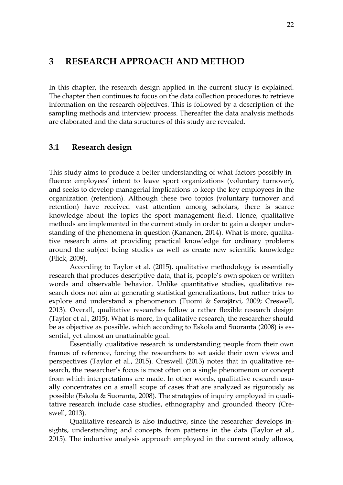## <span id="page-21-0"></span>**3 RESEARCH APPROACH AND METHOD**

In this chapter, the research design applied in the current study is explained. The chapter then continues to focus on the data collection procedures to retrieve information on the research objectives. This is followed by a description of the sampling methods and interview process. Thereafter the data analysis methods are elaborated and the data structures of this study are revealed.

### <span id="page-21-1"></span>**3.1 Research design**

This study aims to produce a better understanding of what factors possibly influence employees' intent to leave sport organizations (voluntary turnover), and seeks to develop managerial implications to keep the key employees in the organization (retention). Although these two topics (voluntary turnover and retention) have received vast attention among scholars, there is scarce knowledge about the topics the sport management field. Hence, qualitative methods are implemented in the current study in order to gain a deeper understanding of the phenomena in question (Kananen, 2014). What is more, qualitative research aims at providing practical knowledge for ordinary problems around the subject being studies as well as create new scientific knowledge (Flick, 2009).

According to Taylor et al. (2015), qualitative methodology is essentially research that produces descriptive data, that is, people's own spoken or written words and observable behavior. Unlike quantitative studies, qualitative research does not aim at generating statistical generalizations, but rather tries to explore and understand a phenomenon (Tuomi & Sarajärvi, 2009; Creswell, 2013). Overall, qualitative researches follow a rather flexible research design (Taylor et al., 2015). What is more, in qualitative research, the researcher should be as objective as possible, which according to Eskola and Suoranta (2008) is essential, yet almost an unattainable goal.

Essentially qualitative research is understanding people from their own frames of reference, forcing the researchers to set aside their own views and perspectives (Taylor et al., 2015). Creswell (2013) notes that in qualitative research, the researcher's focus is most often on a single phenomenon or concept from which interpretations are made. In other words, qualitative research usually concentrates on a small scope of cases that are analyzed as rigorously as possible (Eskola & Suoranta, 2008). The strategies of inquiry employed in qualitative research include case studies, ethnography and grounded theory (Creswell, 2013).

Qualitative research is also inductive, since the researcher develops insights, understanding and concepts from patterns in the data (Taylor et al., 2015). The inductive analysis approach employed in the current study allows,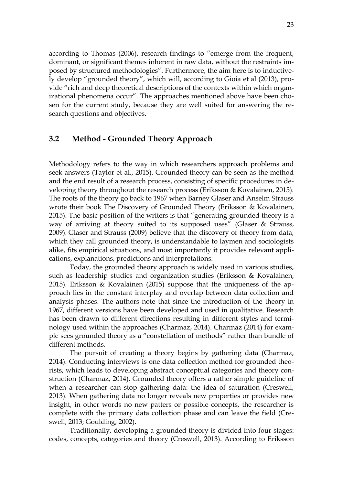according to Thomas (2006), research findings to "emerge from the frequent, dominant, or significant themes inherent in raw data, without the restraints imposed by structured methodologies". Furthermore, the aim here is to inductively develop "grounded theory", which will, according to Gioia et al (2013), provide "rich and deep theoretical descriptions of the contexts within which organizational phenomena occur". The approaches mentioned above have been chosen for the current study, because they are well suited for answering the research questions and objectives.

## <span id="page-22-0"></span>**3.2 Method - Grounded Theory Approach**

Methodology refers to the way in which researchers approach problems and seek answers (Taylor et al., 2015). Grounded theory can be seen as the method and the end result of a research process, consisting of specific procedures in developing theory throughout the research process (Eriksson & Kovalainen, 2015). The roots of the theory go back to 1967 when Barney Glaser and Anselm Strauss wrote their book The Discovery of Grounded Theory (Eriksson & Kovalainen, 2015). The basic position of the writers is that "generating grounded theory is a way of arriving at theory suited to its supposed uses" (Glaser & Strauss, 2009). Glaser and Strauss (2009) believe that the discovery of theory from data, which they call grounded theory, is understandable to laymen and sociologists alike, fits empirical situations, and most importantly it provides relevant applications, explanations, predictions and interpretations.

Today, the grounded theory approach is widely used in various studies, such as leadership studies and organization studies (Eriksson & Kovalainen, 2015). Eriksson & Kovalainen (2015) suppose that the uniqueness of the approach lies in the constant interplay and overlap between data collection and analysis phases. The authors note that since the introduction of the theory in 1967, different versions have been developed and used in qualitative. Research has been drawn to different directions resulting in different styles and terminology used within the approaches (Charmaz, 2014). Charmaz (2014) for example sees grounded theory as a "constellation of methods" rather than bundle of different methods.

The pursuit of creating a theory begins by gathering data (Charmaz, 2014). Conducting interviews is one data collection method for grounded theorists, which leads to developing abstract conceptual categories and theory construction (Charmaz, 2014). Grounded theory offers a rather simple guideline of when a researcher can stop gathering data: the idea of saturation (Creswell, 2013). When gathering data no longer reveals new properties or provides new insight, in other words no new patters or possible concepts, the researcher is complete with the primary data collection phase and can leave the field (Creswell, 2013; Goulding, 2002).

Traditionally, developing a grounded theory is divided into four stages: codes, concepts, categories and theory (Creswell, 2013). According to Eriksson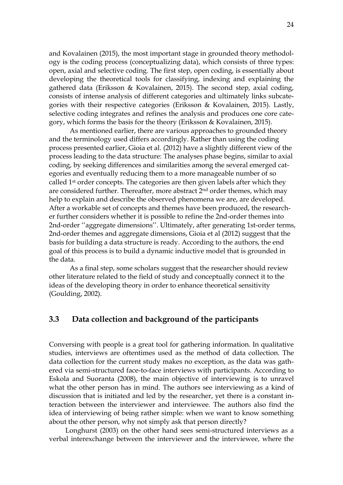and Kovalainen (2015), the most important stage in grounded theory methodology is the coding process (conceptualizing data), which consists of three types: open, axial and selective coding. The first step, open coding, is essentially about developing the theoretical tools for classifying, indexing and explaining the gathered data (Eriksson & Kovalainen, 2015). The second step, axial coding, consists of intense analysis of different categories and ultimately links subcategories with their respective categories (Eriksson & Kovalainen, 2015). Lastly, selective coding integrates and refines the analysis and produces one core category, which forms the basis for the theory (Eriksson & Kovalainen, 2015).

As mentioned earlier, there are various approaches to grounded theory and the terminology used differs accordingly. Rather than using the coding process presented earlier, Gioia et al. (2012) have a slightly different view of the process leading to the data structure: The analyses phase begins, similar to axial coding, by seeking differences and similarities among the several emerged categories and eventually reducing them to a more manageable number of so called 1st order concepts. The categories are then given labels after which they are considered further. Thereafter, more abstract  $2<sup>nd</sup>$  order themes, which may help to explain and describe the observed phenomena we are, are developed. After a workable set of concepts and themes have been produced, the researcher further considers whether it is possible to refine the 2nd-order themes into 2nd-order ''aggregate dimensions''. Ultimately, after generating 1st-order terms, 2nd-order themes and aggregate dimensions, Gioia et al (2012) suggest that the basis for building a data structure is ready. According to the authors, the end goal of this process is to build a dynamic inductive model that is grounded in the data.

As a final step, some scholars suggest that the researcher should review other literature related to the field of study and conceptually connect it to the ideas of the developing theory in order to enhance theoretical sensitivity (Goulding, 2002).

### <span id="page-23-0"></span>**3.3 Data collection and background of the participants**

Conversing with people is a great tool for gathering information. In qualitative studies, interviews are oftentimes used as the method of data collection. The data collection for the current study makes no exception, as the data was gathered via semi-structured face-to-face interviews with participants. According to Eskola and Suoranta (2008), the main objective of interviewing is to unravel what the other person has in mind. The authors see interviewing as a kind of discussion that is initiated and led by the researcher, yet there is a constant interaction between the interviewer and interviewee. The authors also find the idea of interviewing of being rather simple: when we want to know something about the other person, why not simply ask that person directly?

Longhurst (2003) on the other hand sees semi-structured interviews as a verbal interexchange between the interviewer and the interviewee, where the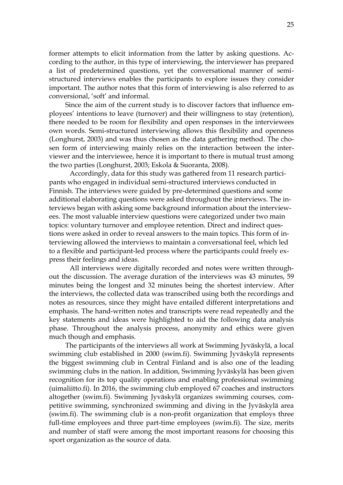former attempts to elicit information from the latter by asking questions. According to the author, in this type of interviewing, the interviewer has prepared a list of predetermined questions, yet the conversational manner of semistructured interviews enables the participants to explore issues they consider important. The author notes that this form of interviewing is also referred to as conversional, 'soft' and informal.

Since the aim of the current study is to discover factors that influence employees' intentions to leave (turnover) and their willingness to stay (retention), there needed to be room for flexibility and open responses in the interviewees own words. Semi-structured interviewing allows this flexibility and openness (Longhurst, 2003) and was thus chosen as the data gathering method. The chosen form of interviewing mainly relies on the interaction between the interviewer and the interviewee, hence it is important to there is mutual trust among the two parties (Longhurst, 2003; Eskola & Suoranta, 2008).

Accordingly, data for this study was gathered from 11 research participants who engaged in individual semi-structured interviews conducted in Finnish. The interviews were guided by pre-determined questions and some additional elaborating questions were asked throughout the interviews. The interviews began with asking some background information about the interviewees. The most valuable interview questions were categorized under two main topics: voluntary turnover and employee retention. Direct and indirect questions were asked in order to reveal answers to the main topics. This form of interviewing allowed the interviews to maintain a conversational feel, which led to a flexible and participant-led process where the participants could freely express their feelings and ideas.

All interviews were digitally recorded and notes were written throughout the discussion. The average duration of the interviews was 43 minutes, 59 minutes being the longest and 32 minutes being the shortest interview. After the interviews, the collected data was transcribed using both the recordings and notes as resources, since they might have entailed different interpretations and emphasis. The hand-written notes and transcripts were read repeatedly and the key statements and ideas were highlighted to aid the following data analysis phase. Throughout the analysis process, anonymity and ethics were given much though and emphasis.

The participants of the interviews all work at Swimming Jyväskylä, a local swimming club established in 2000 (swim.fi). Swimming Jyväskylä represents the biggest swimming club in Central Finland and is also one of the leading swimming clubs in the nation. In addition, Swimming Jyväskylä has been given recognition for its top quality operations and enabling professional swimming (uimaliitto.fi). In 2016, the swimming club employed 67 coaches and instructors altogether (swim.fi). Swimming Jyväskylä organizes swimming courses, competitive swimming, synchronized swimming and diving in the Jyväskylä area (swim.fi). The swimming club is a non-profit organization that employs three full-time employees and three part-time employees (swim.fi). The size, merits and number of staff were among the most important reasons for choosing this sport organization as the source of data.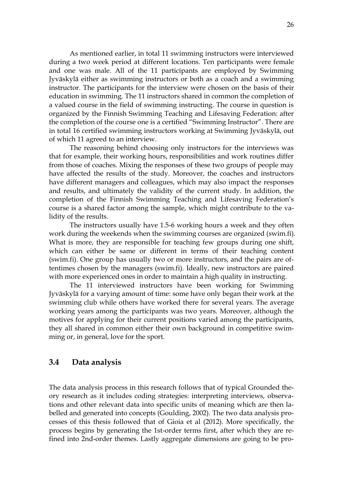As mentioned earlier, in total 11 swimming instructors were interviewed during a two week period at different locations. Ten participants were female and one was male. All of the 11 participants are employed by Swimming Jyväskylä either as swimming instructors or both as a coach and a swimming instructor. The participants for the interview were chosen on the basis of their education in swimming. The 11 instructors shared in common the completion of a valued course in the field of swimming instructing. The course in question is organized by the Finnish Swimming Teaching and Lifesaving Federation: after the completion of the course one is a certified "Swimming Instructor". There are in total 16 certified swimming instructors working at Swimming Jyväskylä, out of which 11 agreed to an interview.

The reasoning behind choosing only instructors for the interviews was that for example, their working hours, responsibilities and work routines differ from those of coaches. Mixing the responses of these two groups of people may have affected the results of the study. Moreover, the coaches and instructors have different managers and colleagues, which may also impact the responses and results, and ultimately the validity of the current study. In addition, the completion of the Finnish Swimming Teaching and Lifesaving Federation's course is a shared factor among the sample, which might contribute to the validity of the results.

The instructors usually have 1.5-6 working hours a week and they often work during the weekends when the swimming courses are organized (swim.fi). What is more, they are responsible for teaching few groups during one shift, which can either be same or different in terms of their teaching content (swim.fi). One group has usually two or more instructors, and the pairs are oftentimes chosen by the managers (swim.fi). Ideally, new instructors are paired with more experienced ones in order to maintain a high quality in instructing.

The 11 interviewed instructors have been working for Swimming Jyväskylä for a varying amount of time: some have only began their work at the swimming club while others have worked there for several years. The average working years among the participants was two years. Moreover, although the motives for applying for their current positions varied among the participants, they all shared in common either their own background in competitive swimming or, in general, love for the sport.

### <span id="page-25-0"></span>**3.4 Data analysis**

The data analysis process in this research follows that of typical Grounded theory research as it includes coding strategies: interpreting interviews, observations and other relevant data into specific units of meaning which are then labelled and generated into concepts (Goulding, 2002). The two data analysis processes of this thesis followed that of Gioia et al (2012). More specifically, the process begins by generating the 1st-order terms first, after which they are refined into 2nd-order themes. Lastly aggregate dimensions are going to be pro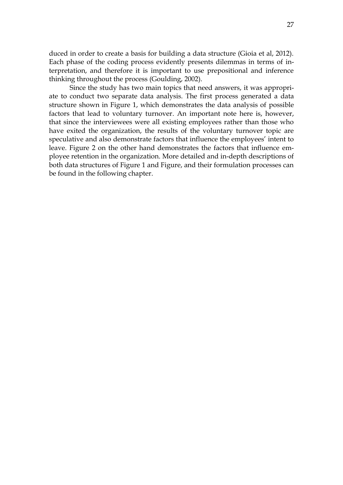duced in order to create a basis for building a data structure (Gioia et al, 2012). Each phase of the coding process evidently presents dilemmas in terms of interpretation, and therefore it is important to use prepositional and inference thinking throughout the process (Goulding, 2002).

Since the study has two main topics that need answers, it was appropriate to conduct two separate data analysis. The first process generated a data structure shown in Figure 1, which demonstrates the data analysis of possible factors that lead to voluntary turnover. An important note here is, however, that since the interviewees were all existing employees rather than those who have exited the organization, the results of the voluntary turnover topic are speculative and also demonstrate factors that influence the employees' intent to leave. Figure 2 on the other hand demonstrates the factors that influence employee retention in the organization. More detailed and in-depth descriptions of both data structures of Figure 1 and Figure, and their formulation processes can be found in the following chapter.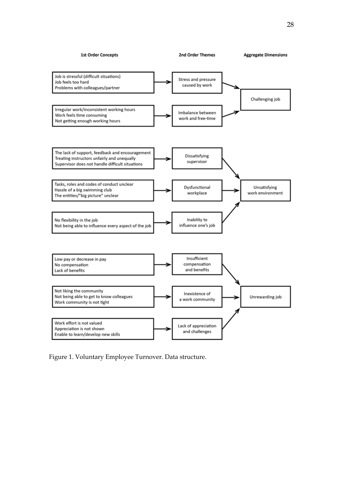

Figure 1. Voluntary Employee Turnover. Data structure.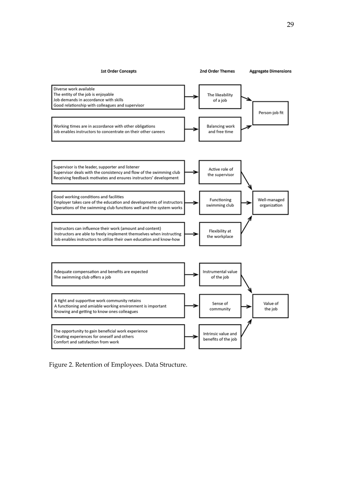

Figure 2. Retention of Employees. Data Structure.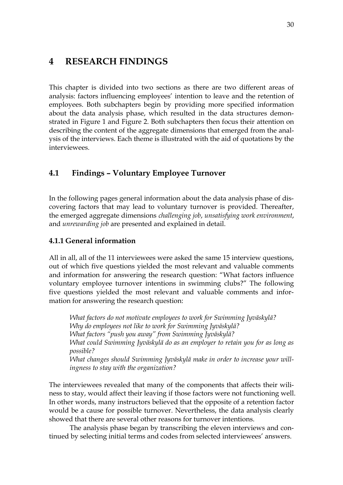## <span id="page-29-0"></span>**4 RESEARCH FINDINGS**

This chapter is divided into two sections as there are two different areas of analysis: factors influencing employees' intention to leave and the retention of employees. Both subchapters begin by providing more specified information about the data analysis phase, which resulted in the data structures demonstrated in Figure 1 and Figure 2. Both subchapters then focus their attention on describing the content of the aggregate dimensions that emerged from the analysis of the interviews. Each theme is illustrated with the aid of quotations by the interviewees.

## <span id="page-29-1"></span>**4.1 Findings – Voluntary Employee Turnover**

In the following pages general information about the data analysis phase of discovering factors that may lead to voluntary turnover is provided. Thereafter, the emerged aggregate dimensions *challenging job*, *unsatisfying work environment*, and *unrewarding job* are presented and explained in detail.

### <span id="page-29-2"></span>**4.1.1 General information**

All in all, all of the 11 interviewees were asked the same 15 interview questions, out of which five questions yielded the most relevant and valuable comments and information for answering the research question: "What factors influence voluntary employee turnover intentions in swimming clubs?" The following five questions yielded the most relevant and valuable comments and information for answering the research question:

*What factors do not motivate employees to work for Swimming Jyväskylä? Why do employees not like to work for Swimming Jyväskylä? What factors "push you away" from Swimming Jyväskylä? What could Swimming Jyväskylä do as an employer to retain you for as long as possible? What changes should Swimming Jyväskylä make in order to increase your willingness to stay with the organization?* 

The interviewees revealed that many of the components that affects their wiliness to stay, would affect their leaving if those factors were not functioning well. In other words, many instructors believed that the opposite of a retention factor would be a cause for possible turnover. Nevertheless, the data analysis clearly showed that there are several other reasons for turnover intentions.

The analysis phase began by transcribing the eleven interviews and continued by selecting initial terms and codes from selected interviewees' answers.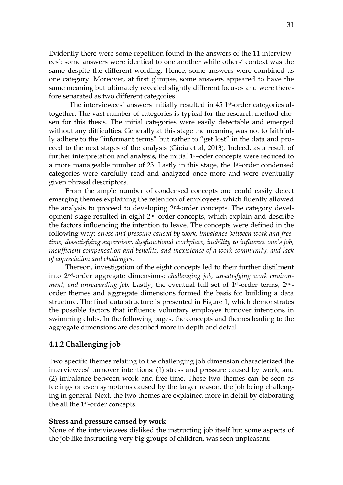Evidently there were some repetition found in the answers of the 11 interviewees': some answers were identical to one another while others' context was the same despite the different wording. Hence, some answers were combined as one category. Moreover, at first glimpse, some answers appeared to have the same meaning but ultimately revealed slightly different focuses and were therefore separated as two different categories.

The interviewees' answers initially resulted in 45 1st-order categories altogether. The vast number of categories is typical for the research method chosen for this thesis. The initial categories were easily detectable and emerged without any difficulties. Generally at this stage the meaning was not to faithfully adhere to the "informant terms" but rather to "get lost" in the data and proceed to the next stages of the analysis (Gioia et al, 2013). Indeed, as a result of further interpretation and analysis, the initial 1st-oder concepts were reduced to a more manageable number of 23. Lastly in this stage, the 1st-order condensed categories were carefully read and analyzed once more and were eventually given phrasal descriptors.

From the ample number of condensed concepts one could easily detect emerging themes explaining the retention of employees, which fluently allowed the analysis to proceed to developing 2nd-order concepts. The category development stage resulted in eight 2nd-order concepts, which explain and describe the factors influencing the intention to leave. The concepts were defined in the following way: *stress and pressure caused by work, imbalance between work and freetime, dissatisfying supervisor, dysfunctional workplace, inability to influence one's job, insufficient compensation and benefits, and inexistence of a work community, and lack of appreciation and challenges.*

Thereon, investigation of the eight concepts led to their further distilment into 2nd-order aggregate dimensions: *challenging job, unsatisfying work environment, and unrewarding job.* Lastly, the eventual full set of 1st-order terms, 2ndorder themes and aggregate dimensions formed the basis for building a data structure. The final data structure is presented in Figure 1, which demonstrates the possible factors that influence voluntary employee turnover intentions in swimming clubs. In the following pages, the concepts and themes leading to the aggregate dimensions are described more in depth and detail.

### <span id="page-30-0"></span>**4.1.2 Challenging job**

Two specific themes relating to the challenging job dimension characterized the interviewees' turnover intentions: (1) stress and pressure caused by work, and (2) imbalance between work and free-time. These two themes can be seen as feelings or even symptoms caused by the larger reason, the job being challenging in general. Next, the two themes are explained more in detail by elaborating the all the 1st-order concepts.

#### **Stress and pressure caused by work**

None of the interviewees disliked the instructing job itself but some aspects of the job like instructing very big groups of children, was seen unpleasant: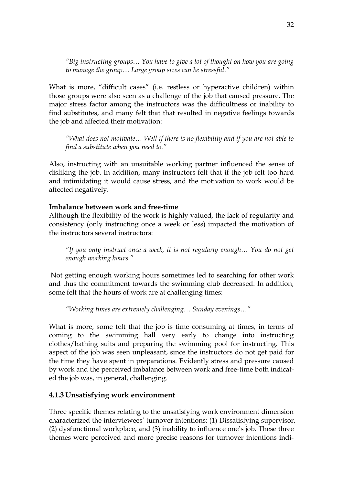*"Big instructing groups… You have to give a lot of thought on how you are going to manage the group… Large group sizes can be stressful."*

What is more, "difficult cases" (i.e. restless or hyperactive children) within those groups were also seen as a challenge of the job that caused pressure. The major stress factor among the instructors was the difficultness or inability to find substitutes, and many felt that that resulted in negative feelings towards the job and affected their motivation:

*"What does not motivate… Well if there is no flexibility and if you are not able to find a substitute when you need to."*

Also, instructing with an unsuitable working partner influenced the sense of disliking the job. In addition, many instructors felt that if the job felt too hard and intimidating it would cause stress, and the motivation to work would be affected negatively.

### **Imbalance between work and free-time**

Although the flexibility of the work is highly valued, the lack of regularity and consistency (only instructing once a week or less) impacted the motivation of the instructors several instructors:

*"If you only instruct once a week, it is not regularly enough… You do not get enough working hours."*

Not getting enough working hours sometimes led to searching for other work and thus the commitment towards the swimming club decreased. In addition, some felt that the hours of work are at challenging times:

*"Working times are extremely challenging… Sunday evenings…"*

What is more, some felt that the job is time consuming at times, in terms of coming to the swimming hall very early to change into instructing clothes/bathing suits and preparing the swimming pool for instructing. This aspect of the job was seen unpleasant, since the instructors do not get paid for the time they have spent in preparations. Evidently stress and pressure caused by work and the perceived imbalance between work and free-time both indicated the job was, in general, challenging.

### <span id="page-31-0"></span>**4.1.3 Unsatisfying work environment**

Three specific themes relating to the unsatisfying work environment dimension characterized the interviewees' turnover intentions: (1) Dissatisfying supervisor, (2) dysfunctional workplace, and (3) inability to influence one's job. These three themes were perceived and more precise reasons for turnover intentions indi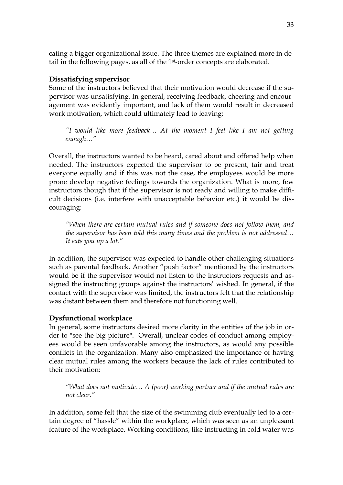cating a bigger organizational issue. The three themes are explained more in detail in the following pages, as all of the 1st-order concepts are elaborated.

### **Dissatisfying supervisor**

Some of the instructors believed that their motivation would decrease if the supervisor was unsatisfying. In general, receiving feedback, cheering and encouragement was evidently important, and lack of them would result in decreased work motivation, which could ultimately lead to leaving:

*"I would like more feedback… At the moment I feel like I am not getting enough…"*

Overall, the instructors wanted to be heard, cared about and offered help when needed. The instructors expected the supervisor to be present, fair and treat everyone equally and if this was not the case, the employees would be more prone develop negative feelings towards the organization. What is more, few instructors though that if the supervisor is not ready and willing to make difficult decisions (i.e. interfere with unacceptable behavior etc.) it would be discouraging:

*"When there are certain mutual rules and if someone does not follow them, and the supervisor has been told this many times and the problem is not addressed… It eats you up a lot."* 

In addition, the supervisor was expected to handle other challenging situations such as parental feedback. Another "push factor" mentioned by the instructors would be if the supervisor would not listen to the instructors requests and assigned the instructing groups against the instructors' wished. In general, if the contact with the supervisor was limited, the instructors felt that the relationship was distant between them and therefore not functioning well.

## **Dysfunctional workplace**

In general, some instructors desired more clarity in the entities of the job in order to "see the big picture". Overall, unclear codes of conduct among employees would be seen unfavorable among the instructors, as would any possible conflicts in the organization. Many also emphasized the importance of having clear mutual rules among the workers because the lack of rules contributed to their motivation:

*"What does not motivate… A (poor) working partner and if the mutual rules are not clear."*

In addition, some felt that the size of the swimming club eventually led to a certain degree of "hassle" within the workplace, which was seen as an unpleasant feature of the workplace. Working conditions, like instructing in cold water was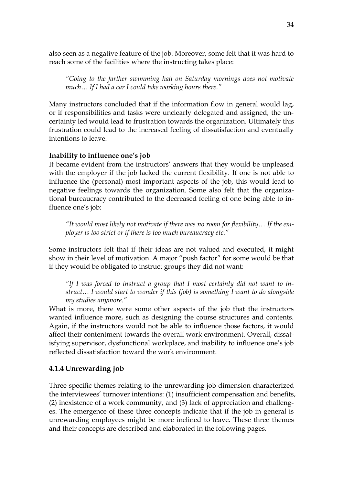also seen as a negative feature of the job. Moreover, some felt that it was hard to reach some of the facilities where the instructing takes place:

*"Going to the farther swimming hall on Saturday mornings does not motivate much… If I had a car I could take working hours there."*

Many instructors concluded that if the information flow in general would lag, or if responsibilities and tasks were unclearly delegated and assigned, the uncertainty led would lead to frustration towards the organization. Ultimately this frustration could lead to the increased feeling of dissatisfaction and eventually intentions to leave.

### **Inability to influence one's job**

It became evident from the instructors' answers that they would be unpleased with the employer if the job lacked the current flexibility. If one is not able to influence the (personal) most important aspects of the job, this would lead to negative feelings towards the organization. Some also felt that the organizational bureaucracy contributed to the decreased feeling of one being able to influence one's job:

*"It would most likely not motivate if there was no room for flexibility… If the employer is too strict or if there is too much bureaucracy etc."* 

Some instructors felt that if their ideas are not valued and executed, it might show in their level of motivation. A major "push factor" for some would be that if they would be obligated to instruct groups they did not want:

*"If I was forced to instruct a group that I most certainly did not want to instruct… I would start to wonder if this (job) is something I want to do alongside my studies anymore."*

What is more, there were some other aspects of the job that the instructors wanted influence more, such as designing the course structures and contents. Again, if the instructors would not be able to influence those factors, it would affect their contentment towards the overall work environment. Overall, dissatisfying supervisor, dysfunctional workplace, and inability to influence one's job reflected dissatisfaction toward the work environment.

### <span id="page-33-0"></span>**4.1.4 Unrewarding job**

Three specific themes relating to the unrewarding job dimension characterized the interviewees' turnover intentions: (1) insufficient compensation and benefits, (2) inexistence of a work community, and (3) lack of appreciation and challenges. The emergence of these three concepts indicate that if the job in general is unrewarding employees might be more inclined to leave. These three themes and their concepts are described and elaborated in the following pages.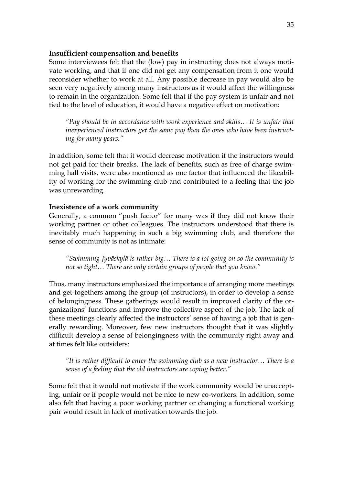### **Insufficient compensation and benefits**

Some interviewees felt that the (low) pay in instructing does not always motivate working, and that if one did not get any compensation from it one would reconsider whether to work at all. Any possible decrease in pay would also be seen very negatively among many instructors as it would affect the willingness to remain in the organization. Some felt that if the pay system is unfair and not tied to the level of education, it would have a negative effect on motivation:

*"Pay should be in accordance with work experience and skills… It is unfair that inexperienced instructors get the same pay than the ones who have been instructing for many years."*

In addition, some felt that it would decrease motivation if the instructors would not get paid for their breaks. The lack of benefits, such as free of charge swimming hall visits, were also mentioned as one factor that influenced the likeability of working for the swimming club and contributed to a feeling that the job was unrewarding.

### **Inexistence of a work community**

Generally, a common "push factor" for many was if they did not know their working partner or other colleagues. The instructors understood that there is inevitably much happening in such a big swimming club, and therefore the sense of community is not as intimate:

*"Swimming Jyväskylä is rather big… There is a lot going on so the community is not so tight… There are only certain groups of people that you know."*

Thus, many instructors emphasized the importance of arranging more meetings and get-togethers among the group (of instructors), in order to develop a sense of belongingness. These gatherings would result in improved clarity of the organizations' functions and improve the collective aspect of the job. The lack of these meetings clearly affected the instructors' sense of having a job that is generally rewarding. Moreover, few new instructors thought that it was slightly difficult develop a sense of belongingness with the community right away and at times felt like outsiders:

*"It is rather difficult to enter the swimming club as a new instructor… There is a sense of a feeling that the old instructors are coping better."*

Some felt that it would not motivate if the work community would be unaccepting, unfair or if people would not be nice to new co-workers. In addition, some also felt that having a poor working partner or changing a functional working pair would result in lack of motivation towards the job.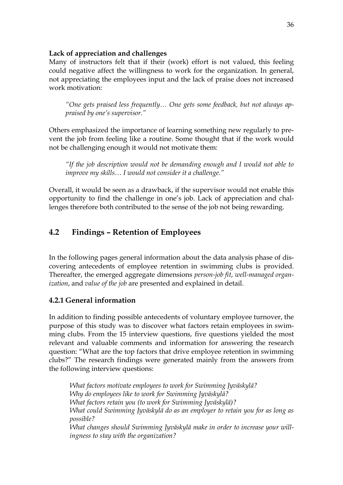### **Lack of appreciation and challenges**

Many of instructors felt that if their (work) effort is not valued, this feeling could negative affect the willingness to work for the organization. In general, not appreciating the employees input and the lack of praise does not increased work motivation:

*"One gets praised less frequently… One gets some feedback, but not always appraised by one's supervisor."*

Others emphasized the importance of learning something new regularly to prevent the job from feeling like a routine. Some thought that if the work would not be challenging enough it would not motivate them:

*"If the job description would not be demanding enough and I would not able to improve my skills… I would not consider it a challenge."*

Overall, it would be seen as a drawback, if the supervisor would not enable this opportunity to find the challenge in one's job. Lack of appreciation and challenges therefore both contributed to the sense of the job not being rewarding.

## <span id="page-35-0"></span>**4.2 Findings – Retention of Employees**

In the following pages general information about the data analysis phase of discovering antecedents of employee retention in swimming clubs is provided. Thereafter, the emerged aggregate dimensions *person-job fit*, *well-managed organization*, and *value of the job* are presented and explained in detail.

## <span id="page-35-1"></span>**4.2.1 General information**

In addition to finding possible antecedents of voluntary employee turnover, the purpose of this study was to discover what factors retain employees in swimming clubs. From the 15 interview questions, five questions yielded the most relevant and valuable comments and information for answering the research question: "What are the top factors that drive employee retention in swimming clubs?" The research findings were generated mainly from the answers from the following interview questions:

*What factors motivate employees to work for Swimming Jyväskylä? Why do employees like to work for Swimming Jyväskylä? What factors retain you (to work for Swimming Jyväskylä)? What could Swimming Jyväskylä do as an employer to retain you for as long as possible? What changes should Swimming Jyväskylä make in order to increase your willingness to stay with the organization?*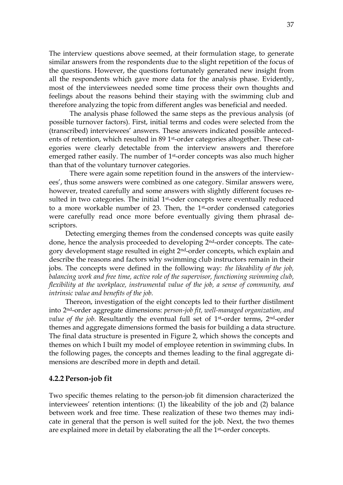The interview questions above seemed, at their formulation stage, to generate similar answers from the respondents due to the slight repetition of the focus of the questions. However, the questions fortunately generated new insight from all the respondents which gave more data for the analysis phase. Evidently, most of the interviewees needed some time process their own thoughts and feelings about the reasons behind their staying with the swimming club and therefore analyzing the topic from different angles was beneficial and needed.

The analysis phase followed the same steps as the previous analysis (of possible turnover factors). First, initial terms and codes were selected from the (transcribed) interviewees' answers. These answers indicated possible antecedents of retention, which resulted in 89 1<sup>st</sup>-order categories altogether. These categories were clearly detectable from the interview answers and therefore emerged rather easily. The number of 1st-order concepts was also much higher than that of the voluntary turnover categories.

There were again some repetition found in the answers of the interviewees', thus some answers were combined as one category. Similar answers were, however, treated carefully and some answers with slightly different focuses resulted in two categories. The initial 1<sup>st</sup>-oder concepts were eventually reduced to a more workable number of 23. Then, the 1st-order condensed categories were carefully read once more before eventually giving them phrasal descriptors.

Detecting emerging themes from the condensed concepts was quite easily done, hence the analysis proceeded to developing 2nd-order concepts. The category development stage resulted in eight 2nd-order concepts, which explain and describe the reasons and factors why swimming club instructors remain in their jobs. The concepts were defined in the following way: *the likeability of the job, balancing work and free time, active role of the supervisor, functioning swimming club, flexibility at the workplace, instrumental value of the job, a sense of community, and intrinsic value and benefits of the job.*

Thereon, investigation of the eight concepts led to their further distilment into 2nd-order aggregate dimensions: *person-job fit, well-managed organization, and value of the job.* Resultantly the eventual full set of 1<sup>st</sup>-order terms, 2<sup>nd</sup>-order themes and aggregate dimensions formed the basis for building a data structure. The final data structure is presented in Figure 2, which shows the concepts and themes on which I built my model of employee retention in swimming clubs. In the following pages, the concepts and themes leading to the final aggregate dimensions are described more in depth and detail.

#### <span id="page-36-0"></span>**4.2.2 Person-job fit**

Two specific themes relating to the person-job fit dimension characterized the interviewees' retention intentions: (1) the likeability of the job and (2) balance between work and free time. These realization of these two themes may indicate in general that the person is well suited for the job. Next, the two themes are explained more in detail by elaborating the all the 1<sup>st</sup>-order concepts.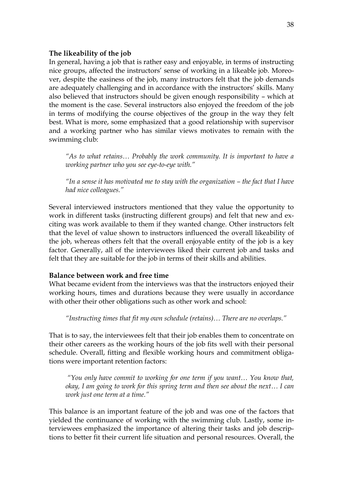#### **The likeability of the job**

In general, having a job that is rather easy and enjoyable, in terms of instructing nice groups, affected the instructors' sense of working in a likeable job. Moreover, despite the easiness of the job, many instructors felt that the job demands are adequately challenging and in accordance with the instructors' skills. Many also believed that instructors should be given enough responsibility – which at the moment is the case. Several instructors also enjoyed the freedom of the job in terms of modifying the course objectives of the group in the way they felt best. What is more, some emphasized that a good relationship with supervisor and a working partner who has similar views motivates to remain with the swimming club:

*"As to what retains… Probably the work community. It is important to have a working partner who you see eye-to-eye with."* 

*"*In a sense it has motivated me to stay with the organization – the fact that I have *had nice colleagues."*

Several interviewed instructors mentioned that they value the opportunity to work in different tasks (instructing different groups) and felt that new and exciting was work available to them if they wanted change. Other instructors felt that the level of value shown to instructors influenced the overall likeability of the job, whereas others felt that the overall enjoyable entity of the job is a key factor. Generally, all of the interviewees liked their current job and tasks and felt that they are suitable for the job in terms of their skills and abilities.

### **Balance between work and free time**

What became evident from the interviews was that the instructors enjoyed their working hours, times and durations because they were usually in accordance with other their other obligations such as other work and school:

*"Instructing times that fit my own schedule (retains)… There are no overlaps."* 

That is to say, the interviewees felt that their job enables them to concentrate on their other careers as the working hours of the job fits well with their personal schedule. Overall, fitting and flexible working hours and commitment obligations were important retention factors:

*"You only have commit to working for one term if you want… You know that, okay, I am going to work for this spring term and then see about the next… I can work just one term at a time."* 

This balance is an important feature of the job and was one of the factors that yielded the continuance of working with the swimming club. Lastly, some interviewees emphasized the importance of altering their tasks and job descriptions to better fit their current life situation and personal resources. Overall, the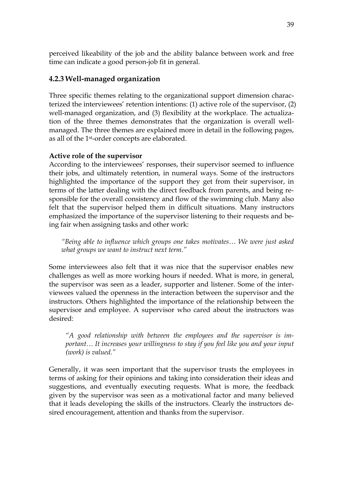perceived likeability of the job and the ability balance between work and free time can indicate a good person-job fit in general.

## <span id="page-38-0"></span>**4.2.3 Well-managed organization**

Three specific themes relating to the organizational support dimension characterized the interviewees' retention intentions: (1) active role of the supervisor, (2) well-managed organization, and (3) flexibility at the workplace. The actualization of the three themes demonstrates that the organization is overall wellmanaged. The three themes are explained more in detail in the following pages, as all of the 1st-order concepts are elaborated.

## **Active role of the supervisor**

According to the interviewees' responses, their supervisor seemed to influence their jobs, and ultimately retention, in numeral ways. Some of the instructors highlighted the importance of the support they get from their supervisor, in terms of the latter dealing with the direct feedback from parents, and being responsible for the overall consistency and flow of the swimming club. Many also felt that the supervisor helped them in difficult situations. Many instructors emphasized the importance of the supervisor listening to their requests and being fair when assigning tasks and other work:

*"Being able to influence which groups one takes motivates… We were just asked what groups we want to instruct next term."* 

Some interviewees also felt that it was nice that the supervisor enables new challenges as well as more working hours if needed. What is more, in general, the supervisor was seen as a leader, supporter and listener. Some of the interviewees valued the openness in the interaction between the supervisor and the instructors. Others highlighted the importance of the relationship between the supervisor and employee. A supervisor who cared about the instructors was desired:

*"A good relationship with between the employees and the supervisor is important… It increases your willingness to stay if you feel like you and your input (work) is valued."*

Generally, it was seen important that the supervisor trusts the employees in terms of asking for their opinions and taking into consideration their ideas and suggestions, and eventually executing requests. What is more, the feedback given by the supervisor was seen as a motivational factor and many believed that it leads developing the skills of the instructors. Clearly the instructors desired encouragement, attention and thanks from the supervisor.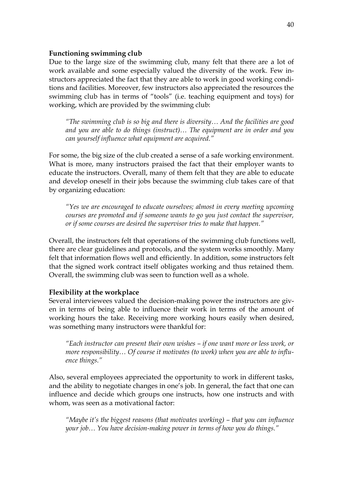#### **Functioning swimming club**

Due to the large size of the swimming club, many felt that there are a lot of work available and some especially valued the diversity of the work. Few instructors appreciated the fact that they are able to work in good working conditions and facilities. Moreover, few instructors also appreciated the resources the swimming club has in terms of "tools" (i.e. teaching equipment and toys) for working, which are provided by the swimming club:

*"The swimming club is so big and there is diversity… And the facilities are good and you are able to do things (instruct)… The equipment are in order and you can yourself influence what equipment are acquired."*

For some, the big size of the club created a sense of a safe working environment. What is more, many instructors praised the fact that their employer wants to educate the instructors. Overall, many of them felt that they are able to educate and develop oneself in their jobs because the swimming club takes care of that by organizing education:

*"Yes we are encouraged to educate ourselves; almost in every meeting upcoming courses are promoted and if someone wants to go you just contact the supervisor, or if some courses are desired the supervisor tries to make that happen."*

Overall, the instructors felt that operations of the swimming club functions well, there are clear guidelines and protocols, and the system works smoothly. Many felt that information flows well and efficiently. In addition, some instructors felt that the signed work contract itself obligates working and thus retained them. Overall, the swimming club was seen to function well as a whole.

### **Flexibility at the workplace**

Several interviewees valued the decision-making power the instructors are given in terms of being able to influence their work in terms of the amount of working hours the take. Receiving more working hours easily when desired, was something many instructors were thankful for:

*"Each instructor can present their own wishes – if one want more or less work, or more responsibility… Of course it motivates (to work) when you are able to influence things."*

Also, several employees appreciated the opportunity to work in different tasks, and the ability to negotiate changes in one's job. In general, the fact that one can influence and decide which groups one instructs, how one instructs and with whom, was seen as a motivational factor:

*"Maybe it's the biggest reasons (that motivates working) – that you can influence your job… You have decision-making power in terms of how you do things."*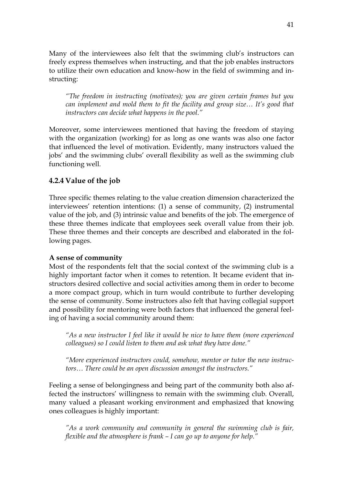Many of the interviewees also felt that the swimming club's instructors can freely express themselves when instructing, and that the job enables instructors to utilize their own education and know-how in the field of swimming and instructing:

*"The freedom in instructing (motivates); you are given certain frames but you can implement and mold them to fit the facility and group size… It's good that instructors can decide what happens in the pool."*

Moreover, some interviewees mentioned that having the freedom of staying with the organization (working) for as long as one wants was also one factor that influenced the level of motivation. Evidently, many instructors valued the jobs' and the swimming clubs' overall flexibility as well as the swimming club functioning well.

## <span id="page-40-0"></span>**4.2.4 Value of the job**

Three specific themes relating to the value creation dimension characterized the interviewees' retention intentions: (1) a sense of community, (2) instrumental value of the job, and (3) intrinsic value and benefits of the job. The emergence of these three themes indicate that employees seek overall value from their job. These three themes and their concepts are described and elaborated in the following pages.

### **A sense of community**

Most of the respondents felt that the social context of the swimming club is a highly important factor when it comes to retention. It became evident that instructors desired collective and social activities among them in order to become a more compact group, which in turn would contribute to further developing the sense of community. Some instructors also felt that having collegial support and possibility for mentoring were both factors that influenced the general feeling of having a social community around them:

*"As a new instructor I feel like it would be nice to have them (more experienced colleagues) so I could listen to them and ask what they have done."*

*"More experienced instructors could, somehow, mentor or tutor the new instructors… There could be an open discussion amongst the instructors."* 

Feeling a sense of belongingness and being part of the community both also affected the instructors' willingness to remain with the swimming club. Overall, many valued a pleasant working environment and emphasized that knowing ones colleagues is highly important:

*"As a work community and community in general the swimming club is fair, flexible and the atmosphere is frank – I can go up to anyone for help."*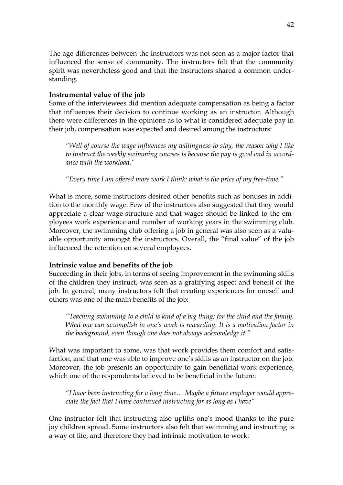The age differences between the instructors was not seen as a major factor that influenced the sense of community. The instructors felt that the community spirit was nevertheless good and that the instructors shared a common understanding.

### **Instrumental value of the job**

Some of the interviewees did mention adequate compensation as being a factor that influences their decision to continue working as an instructor. Although there were differences in the opinions as to what is considered adequate pay in their job, compensation was expected and desired among the instructors:

*"Well of course the wage influences my willingness to stay, the reason why I like to instruct the weekly swimming courses is because the pay is good and in accordance with the workload."* 

*"Every time I am offered more work I think: what is the price of my free-time."*

What is more, some instructors desired other benefits such as bonuses in addition to the monthly wage. Few of the instructors also suggested that they would appreciate a clear wage-structure and that wages should be linked to the employees work experience and number of working years in the swimming club. Moreover, the swimming club offering a job in general was also seen as a valuable opportunity amongst the instructors. Overall, the "final value" of the job influenced the retention on several employees.

## **Intrinsic value and benefits of the job**

Succeeding in their jobs, in terms of seeing improvement in the swimming skills of the children they instruct, was seen as a gratifying aspect and benefit of the job. In general, many instructors felt that creating experiences for oneself and others was one of the main benefits of the job:

*"Teaching swimming to a child is kind of a big thing; for the child and the family. What one can accomplish in one's work is rewarding. It is a motivation factor in the background, even though one does not always acknowledge it."*

What was important to some, was that work provides them comfort and satisfaction, and that one was able to improve one's skills as an instructor on the job. Moreover, the job presents an opportunity to gain beneficial work experience, which one of the respondents believed to be beneficial in the future:

*"I have been instructing for a long time… Maybe a future employer would appreciate the fact that I have continued instructing for as long as I have"*

One instructor felt that instructing also uplifts one's mood thanks to the pure joy children spread. Some instructors also felt that swimming and instructing is a way of life, and therefore they had intrinsic motivation to work: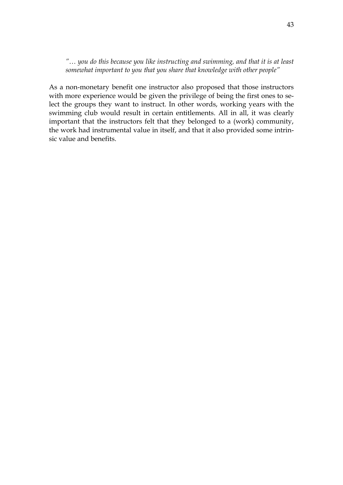*"… you do this because you like instructing and swimming, and that it is at least somewhat important to you that you share that knowledge with other people"* 

As a non-monetary benefit one instructor also proposed that those instructors with more experience would be given the privilege of being the first ones to select the groups they want to instruct. In other words, working years with the swimming club would result in certain entitlements. All in all, it was clearly important that the instructors felt that they belonged to a (work) community, the work had instrumental value in itself, and that it also provided some intrinsic value and benefits.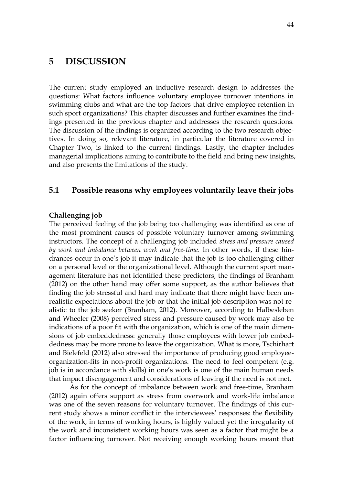## <span id="page-43-0"></span>**5 DISCUSSION**

The current study employed an inductive research design to addresses the questions: What factors influence voluntary employee turnover intentions in swimming clubs and what are the top factors that drive employee retention in such sport organizations? This chapter discusses and further examines the findings presented in the previous chapter and addresses the research questions. The discussion of the findings is organized according to the two research objectives. In doing so, relevant literature, in particular the literature covered in Chapter Two, is linked to the current findings. Lastly, the chapter includes managerial implications aiming to contribute to the field and bring new insights, and also presents the limitations of the study.

### <span id="page-43-1"></span>**5.1 Possible reasons why employees voluntarily leave their jobs**

### **Challenging job**

The perceived feeling of the job being too challenging was identified as one of the most prominent causes of possible voluntary turnover among swimming instructors. The concept of a challenging job included *stress and pressure caused by work and imbalance between work and free-time*. In other words, if these hindrances occur in one's job it may indicate that the job is too challenging either on a personal level or the organizational level. Although the current sport management literature has not identified these predictors, the findings of Branham (2012) on the other hand may offer some support, as the author believes that finding the job stressful and hard may indicate that there might have been unrealistic expectations about the job or that the initial job description was not realistic to the job seeker (Branham, 2012). Moreover, according to Halbesleben and Wheeler (2008) perceived stress and pressure caused by work may also be indications of a poor fit with the organization, which is one of the main dimensions of job embeddedness: generally those employees with lower job embeddedness may be more prone to leave the organization. What is more, Tschirhart and Bielefeld (2012) also stressed the importance of producing good employeeorganization-fits in non-profit organizations. The need to feel competent (e.g. job is in accordance with skills) in one's work is one of the main human needs that impact disengagement and considerations of leaving if the need is not met.

As for the concept of imbalance between work and free-time, Branham (2012) again offers support as stress from overwork and work-life imbalance was one of the seven reasons for voluntary turnover. The findings of this current study shows a minor conflict in the interviewees' responses: the flexibility of the work, in terms of working hours, is highly valued yet the irregularity of the work and inconsistent working hours was seen as a factor that might be a factor influencing turnover. Not receiving enough working hours meant that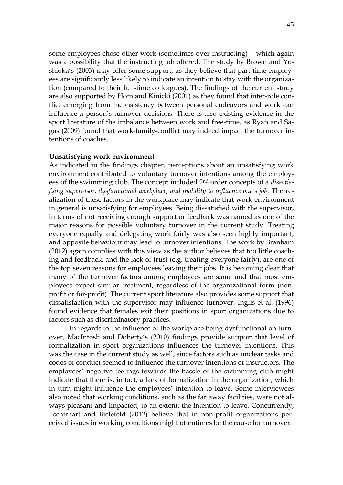some employees chose other work (sometimes over instructing) – which again was a possibility that the instructing job offered. The study by Brown and Yoshioka's (2003) may offer some support, as they believe that part-time employees are significantly less likely to indicate an intention to stay with the organization (compared to their full-time colleagues). The findings of the current study are also supported by Hom and Kinicki (2001) as they found that inter-role conflict emerging from inconsistency between personal endeavors and work can influence a person's turnover decisions. There is also existing evidence in the sport literature of the imbalance between work and free-time, as Ryan and Sagas (2009) found that work-family-conflict may indeed impact the turnover intentions of coaches.

#### **Unsatisfying work environment**

As indicated in the findings chapter, perceptions about an unsatisfying work environment contributed to voluntary turnover intentions among the employees of the swimming club. The concept included 2nd order concepts of a *dissatisfying supervisor, dysfunctional workplace, and inability to influence one's job.* The realization of these factors in the workplace may indicate that work environment in general is unsatisfying for employees. Being dissatisfied with the supervisor, in terms of not receiving enough support or feedback was named as one of the major reasons for possible voluntary turnover in the current study. Treating everyone equally and delegating work fairly was also seen highly important, and opposite behaviour may lead to turnover intentions. The work by Branham (2012) again complies with this view as the author believes that too little coaching and feedback, and the lack of trust (e.g. treating everyone fairly), are one of the top seven reasons for employees leaving their jobs. It is becoming clear that many of the turnover factors among employees are same and that most employees expect similar treatment, regardless of the organizational form (nonprofit or for-profit). The current sport literature also provides some support that dissatisfaction with the supervisor may influence turnover: Inglis et al. (1996) found evidence that females exit their positions in sport organizations due to factors such as discriminatory practices.

In regards to the influence of the workplace being dysfunctional on turnover, MacIntosh and Doherty's (2010) findings provide support that level of formalization in sport organizations influences the turnover intentions. This was the case in the current study as well, since factors such as unclear tasks and codes of conduct seemed to influence the turnover intentions of instructors. The employees' negative feelings towards the hassle of the swimming club might indicate that there is, in fact, a lack of formalization in the organization, which in turn might influence the employees' intention to leave. Some interviewees also noted that working conditions, such as the far away facilities, were not always pleasant and impacted, to an extent, the intention to leave. Concurrently, Tschirhart and Bielefeld (2012) believe that in non-profit organizations perceived issues in working conditions might oftentimes be the cause for turnover.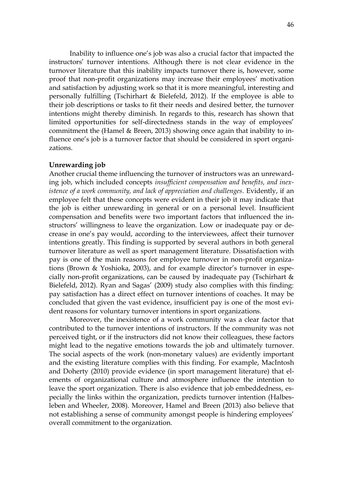Inability to influence one's job was also a crucial factor that impacted the instructors' turnover intentions. Although there is not clear evidence in the turnover literature that this inability impacts turnover there is, however, some proof that non-profit organizations may increase their employees' motivation and satisfaction by adjusting work so that it is more meaningful, interesting and personally fulfilling (Tschirhart & Bielefeld, 2012). If the employee is able to their job descriptions or tasks to fit their needs and desired better, the turnover intentions might thereby diminish. In regards to this, research has shown that limited opportunities for self-directedness stands in the way of employees' commitment the (Hamel & Breen, 2013) showing once again that inability to influence one's job is a turnover factor that should be considered in sport organizations.

#### **Unrewarding job**

Another crucial theme influencing the turnover of instructors was an unrewarding job, which included concepts *insufficient compensation and benefits, and inexistence of a work community, and lack of appreciation and challenges*. Evidently, if an employee felt that these concepts were evident in their job it may indicate that the job is either unrewarding in general or on a personal level. Insufficient compensation and benefits were two important factors that influenced the instructors' willingness to leave the organization. Low or inadequate pay or decrease in one's pay would, according to the interviewees, affect their turnover intentions greatly. This finding is supported by several authors in both general turnover literature as well as sport management literature. Dissatisfaction with pay is one of the main reasons for employee turnover in non-profit organizations (Brown & Yoshioka, 2003), and for example director's turnover in especially non-profit organizations, can be caused by inadequate pay (Tschirhart  $\&$ Bielefeld, 2012). Ryan and Sagas' (2009) study also complies with this finding: pay satisfaction has a direct effect on turnover intentions of coaches. It may be concluded that given the vast evidence, insufficient pay is one of the most evident reasons for voluntary turnover intentions in sport organizations.

Moreover, the inexistence of a work community was a clear factor that contributed to the turnover intentions of instructors. If the community was not perceived tight, or if the instructors did not know their colleagues, these factors might lead to the negative emotions towards the job and ultimately turnover. The social aspects of the work (non-monetary values) are evidently important and the existing literature complies with this finding. For example, MacIntosh and Doherty (2010) provide evidence (in sport management literature) that elements of organizational culture and atmosphere influence the intention to leave the sport organization. There is also evidence that job embeddedness, especially the links within the organization, predicts turnover intention (Halbesleben and Wheeler, 2008). Moreover, Hamel and Breen (2013) also believe that not establishing a sense of community amongst people is hindering employees' overall commitment to the organization.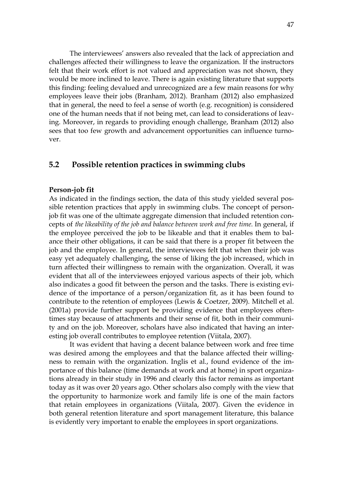The interviewees' answers also revealed that the lack of appreciation and challenges affected their willingness to leave the organization. If the instructors felt that their work effort is not valued and appreciation was not shown, they would be more inclined to leave. There is again existing literature that supports this finding: feeling devalued and unrecognized are a few main reasons for why employees leave their jobs (Branham, 2012). Branham (2012) also emphasized that in general, the need to feel a sense of worth (e.g. recognition) is considered one of the human needs that if not being met, can lead to considerations of leaving. Moreover, in regards to providing enough challenge, Branham (2012) also sees that too few growth and advancement opportunities can influence turnover.

### <span id="page-46-0"></span>**5.2 Possible retention practices in swimming clubs**

#### **Person-job fit**

As indicated in the findings section, the data of this study yielded several possible retention practices that apply in swimming clubs. The concept of personjob fit was one of the ultimate aggregate dimension that included retention concepts of *the likeability of the job and balance between work and free time.* In general, if the employee perceived the job to be likeable and that it enables them to balance their other obligations, it can be said that there is a proper fit between the job and the employee. In general, the interviewees felt that when their job was easy yet adequately challenging, the sense of liking the job increased, which in turn affected their willingness to remain with the organization. Overall, it was evident that all of the interviewees enjoyed various aspects of their job, which also indicates a good fit between the person and the tasks. There is existing evidence of the importance of a person/organization fit, as it has been found to contribute to the retention of employees (Lewis & Coetzer, 2009). Mitchell et al. (2001a) provide further support be providing evidence that employees oftentimes stay because of attachments and their sense of fit, both in their community and on the job. Moreover, scholars have also indicated that having an interesting job overall contributes to employee retention (Viitala, 2007).

It was evident that having a decent balance between work and free time was desired among the employees and that the balance affected their willingness to remain with the organization. Inglis et al., found evidence of the importance of this balance (time demands at work and at home) in sport organizations already in their study in 1996 and clearly this factor remains as important today as it was over 20 years ago. Other scholars also comply with the view that the opportunity to harmonize work and family life is one of the main factors that retain employees in organizations (Viitala, 2007). Given the evidence in both general retention literature and sport management literature, this balance is evidently very important to enable the employees in sport organizations.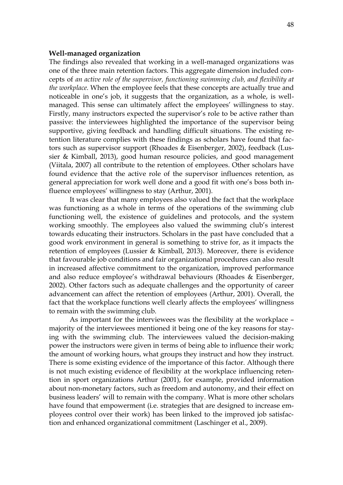#### **Well-managed organization**

The findings also revealed that working in a well-managed organizations was one of the three main retention factors. This aggregate dimension included concepts of *an active role of the supervisor, functioning swimming club, and flexibility at the workplace.* When the employee feels that these concepts are actually true and noticeable in one's job, it suggests that the organization, as a whole, is wellmanaged. This sense can ultimately affect the employees' willingness to stay. Firstly, many instructors expected the supervisor's role to be active rather than passive: the interviewees highlighted the importance of the supervisor being supportive, giving feedback and handling difficult situations. The existing retention literature complies with these findings as scholars have found that factors such as supervisor support (Rhoades & Eisenberger, 2002), feedback (Lussier & Kimball, 2013), good human resource policies, and good management (Viitala, 2007) all contribute to the retention of employees. Other scholars have found evidence that the active role of the supervisor influences retention, as general appreciation for work well done and a good fit with one's boss both influence employees' willingness to stay (Arthur, 2001).

It was clear that many employees also valued the fact that the workplace was functioning as a whole in terms of the operations of the swimming club functioning well, the existence of guidelines and protocols, and the system working smoothly. The employees also valued the swimming club's interest towards educating their instructors. Scholars in the past have concluded that a good work environment in general is something to strive for, as it impacts the retention of employees (Lussier & Kimball, 2013). Moreover, there is evidence that favourable job conditions and fair organizational procedures can also result in increased affective commitment to the organization, improved performance and also reduce employee's withdrawal behaviours (Rhoades & Eisenberger, 2002). Other factors such as adequate challenges and the opportunity of career advancement can affect the retention of employees (Arthur, 2001). Overall, the fact that the workplace functions well clearly affects the employees' willingness to remain with the swimming club.

As important for the interviewees was the flexibility at the workplace – majority of the interviewees mentioned it being one of the key reasons for staying with the swimming club. The interviewees valued the decision-making power the instructors were given in terms of being able to influence their work; the amount of working hours, what groups they instruct and how they instruct. There is some existing evidence of the importance of this factor. Although there is not much existing evidence of flexibility at the workplace influencing retention in sport organizations Arthur (2001), for example, provided information about non-monetary factors, such as freedom and autonomy, and their effect on business leaders' will to remain with the company. What is more other scholars have found that empowerment (i.e. strategies that are designed to increase employees control over their work) has been linked to the improved job satisfaction and enhanced organizational commitment (Laschinger et al., 2009).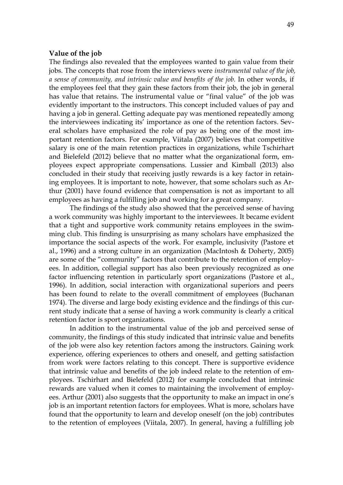#### **Value of the job**

The findings also revealed that the employees wanted to gain value from their jobs. The concepts that rose from the interviews were *instrumental value of the job, a sense of community, and intrinsic value and benefits of the job.* In other words, if the employees feel that they gain these factors from their job, the job in general has value that retains. The instrumental value or "final value" of the job was evidently important to the instructors. This concept included values of pay and having a job in general. Getting adequate pay was mentioned repeatedly among the interviewees indicating its' importance as one of the retention factors. Several scholars have emphasized the role of pay as being one of the most important retention factors. For example, Viitala (2007) believes that competitive salary is one of the main retention practices in organizations, while Tschirhart and Bielefeld (2012) believe that no matter what the organizational form, employees expect appropriate compensations. Lussier and Kimball (2013) also concluded in their study that receiving justly rewards is a key factor in retaining employees. It is important to note, however, that some scholars such as Arthur (2001) have found evidence that compensation is not as important to all employees as having a fulfilling job and working for a great company.

The findings of the study also showed that the perceived sense of having a work community was highly important to the interviewees. It became evident that a tight and supportive work community retains employees in the swimming club. This finding is unsurprising as many scholars have emphasized the importance the social aspects of the work. For example, inclusivity (Pastore et al., 1996) and a strong culture in an organization (MacIntosh & Doherty, 2005) are some of the "community" factors that contribute to the retention of employees. In addition, collegial support has also been previously recognized as one factor influencing retention in particularly sport organizations (Pastore et al., 1996). In addition, social interaction with organizational superiors and peers has been found to relate to the overall commitment of employees (Buchanan 1974). The diverse and large body existing evidence and the findings of this current study indicate that a sense of having a work community is clearly a critical retention factor is sport organizations.

In addition to the instrumental value of the job and perceived sense of community, the findings of this study indicated that intrinsic value and benefits of the job were also key retention factors among the instructors. Gaining work experience, offering experiences to others and oneself, and getting satisfaction from work were factors relating to this concept. There is supportive evidence that intrinsic value and benefits of the job indeed relate to the retention of employees. Tschirhart and Bielefeld (2012) for example concluded that intrinsic rewards are valued when it comes to maintaining the involvement of employees. Arthur (2001) also suggests that the opportunity to make an impact in one's job is an important retention factors for employees. What is more, scholars have found that the opportunity to learn and develop oneself (on the job) contributes to the retention of employees (Viitala, 2007). In general, having a fulfilling job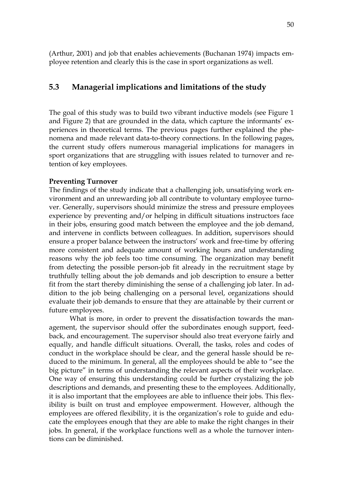<span id="page-49-0"></span>(Arthur, 2001) and job that enables achievements (Buchanan 1974) impacts employee retention and clearly this is the case in sport organizations as well.

## **5.3 Managerial implications and limitations of the study**

The goal of this study was to build two vibrant inductive models (see Figure 1 and Figure 2) that are grounded in the data, which capture the informants' experiences in theoretical terms. The previous pages further explained the phenomena and made relevant data-to-theory connections. In the following pages, the current study offers numerous managerial implications for managers in sport organizations that are struggling with issues related to turnover and retention of key employees.

### **Preventing Turnover**

The findings of the study indicate that a challenging job, unsatisfying work environment and an unrewarding job all contribute to voluntary employee turnover. Generally, supervisors should minimize the stress and pressure employees experience by preventing and/or helping in difficult situations instructors face in their jobs, ensuring good match between the employee and the job demand, and intervene in conflicts between colleagues. In addition, supervisors should ensure a proper balance between the instructors' work and free-time by offering more consistent and adequate amount of working hours and understanding reasons why the job feels too time consuming. The organization may benefit from detecting the possible person-job fit already in the recruitment stage by truthfully telling about the job demands and job description to ensure a better fit from the start thereby diminishing the sense of a challenging job later. In addition to the job being challenging on a personal level, organizations should evaluate their job demands to ensure that they are attainable by their current or future employees.

What is more, in order to prevent the dissatisfaction towards the management, the supervisor should offer the subordinates enough support, feedback, and encouragement. The supervisor should also treat everyone fairly and equally, and handle difficult situations. Overall, the tasks, roles and codes of conduct in the workplace should be clear, and the general hassle should be reduced to the minimum. In general, all the employees should be able to "see the big picture" in terms of understanding the relevant aspects of their workplace. One way of ensuring this understanding could be further crystalizing the job descriptions and demands, and presenting these to the employees. Additionally, it is also important that the employees are able to influence their jobs. This flexibility is built on trust and employee empowerment. However, although the employees are offered flexibility, it is the organization's role to guide and educate the employees enough that they are able to make the right changes in their jobs. In general, if the workplace functions well as a whole the turnover intentions can be diminished.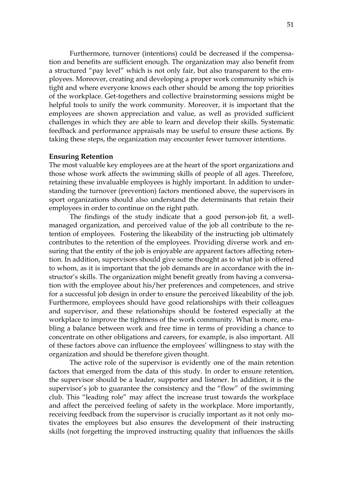Furthermore, turnover (intentions) could be decreased if the compensation and benefits are sufficient enough. The organization may also benefit from a structured "pay level" which is not only fair, but also transparent to the employees. Moreover, creating and developing a proper work community which is tight and where everyone knows each other should be among the top priorities of the workplace. Get-togethers and collective brainstorming sessions might be helpful tools to unify the work community. Moreover, it is important that the employees are shown appreciation and value, as well as provided sufficient challenges in which they are able to learn and develop their skills. Systematic feedback and performance appraisals may be useful to ensure these actions. By taking these steps, the organization may encounter fewer turnover intentions.

#### **Ensuring Retention**

The most valuable key employees are at the heart of the sport organizations and those whose work affects the swimming skills of people of all ages. Therefore, retaining these invaluable employees is highly important. In addition to understanding the turnover (prevention) factors mentioned above, the supervisors in sport organizations should also understand the determinants that retain their employees in order to continue on the right path.

The findings of the study indicate that a good person-job fit, a wellmanaged organization, and perceived value of the job all contribute to the retention of employees. Fostering the likeability of the instructing job ultimately contributes to the retention of the employees. Providing diverse work and ensuring that the entity of the job is enjoyable are apparent factors affecting retention. In addition, supervisors should give some thought as to what job is offered to whom, as it is important that the job demands are in accordance with the instructor's skills. The organization might benefit greatly from having a conversation with the employee about his/her preferences and competences, and strive for a successful job design in order to ensure the perceived likeability of the job. Furthermore, employees should have good relationships with their colleagues and supervisor, and these relationships should be fostered especially at the workplace to improve the tightness of the work community. What is more, enabling a balance between work and free time in terms of providing a chance to concentrate on other obligations and careers, for example, is also important. All of these factors above can influence the employees' willingness to stay with the organization and should be therefore given thought.

The active role of the supervisor is evidently one of the main retention factors that emerged from the data of this study. In order to ensure retention, the supervisor should be a leader, supporter and listener. In addition, it is the supervisor's job to guarantee the consistency and the "flow" of the swimming club. This "leading role" may affect the increase trust towards the workplace and affect the perceived feeling of safety in the workplace. More importantly, receiving feedback from the supervisor is crucially important as it not only motivates the employees but also ensures the development of their instructing skills (not forgetting the improved instructing quality that influences the skills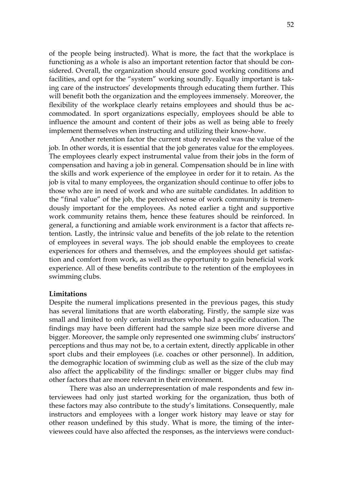of the people being instructed). What is more, the fact that the workplace is functioning as a whole is also an important retention factor that should be considered. Overall, the organization should ensure good working conditions and facilities, and opt for the "system" working soundly. Equally important is taking care of the instructors' developments through educating them further. This will benefit both the organization and the employees immensely. Moreover, the flexibility of the workplace clearly retains employees and should thus be accommodated. In sport organizations especially, employees should be able to influence the amount and content of their jobs as well as being able to freely implement themselves when instructing and utilizing their know-how.

Another retention factor the current study revealed was the value of the job. In other words, it is essential that the job generates value for the employees. The employees clearly expect instrumental value from their jobs in the form of compensation and having a job in general. Compensation should be in line with the skills and work experience of the employee in order for it to retain. As the job is vital to many employees, the organization should continue to offer jobs to those who are in need of work and who are suitable candidates. In addition to the "final value" of the job, the perceived sense of work community is tremendously important for the employees. As noted earlier a tight and supportive work community retains them, hence these features should be reinforced. In general, a functioning and amiable work environment is a factor that affects retention. Lastly, the intrinsic value and benefits of the job relate to the retention of employees in several ways. The job should enable the employees to create experiences for others and themselves, and the employees should get satisfaction and comfort from work, as well as the opportunity to gain beneficial work experience. All of these benefits contribute to the retention of the employees in swimming clubs.

#### **Limitations**

Despite the numeral implications presented in the previous pages, this study has several limitations that are worth elaborating. Firstly, the sample size was small and limited to only certain instructors who had a specific education. The findings may have been different had the sample size been more diverse and bigger. Moreover, the sample only represented one swimming clubs' instructors' perceptions and thus may not be, to a certain extent, directly applicable in other sport clubs and their employees (i.e. coaches or other personnel). In addition, the demographic location of swimming club as well as the size of the club may also affect the applicability of the findings: smaller or bigger clubs may find other factors that are more relevant in their environment.

There was also an underrepresentation of male respondents and few interviewees had only just started working for the organization, thus both of these factors may also contribute to the study's limitations. Consequently, male instructors and employees with a longer work history may leave or stay for other reason undefined by this study. What is more, the timing of the interviewees could have also affected the responses, as the interviews were conduct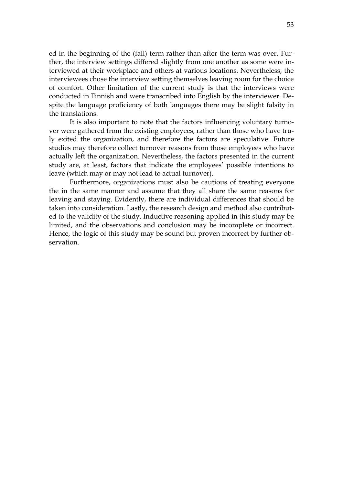ed in the beginning of the (fall) term rather than after the term was over. Further, the interview settings differed slightly from one another as some were interviewed at their workplace and others at various locations. Nevertheless, the interviewees chose the interview setting themselves leaving room for the choice of comfort. Other limitation of the current study is that the interviews were conducted in Finnish and were transcribed into English by the interviewer. Despite the language proficiency of both languages there may be slight falsity in the translations.

It is also important to note that the factors influencing voluntary turnover were gathered from the existing employees, rather than those who have truly exited the organization, and therefore the factors are speculative. Future studies may therefore collect turnover reasons from those employees who have actually left the organization. Nevertheless, the factors presented in the current study are, at least, factors that indicate the employees' possible intentions to leave (which may or may not lead to actual turnover).

Furthermore, organizations must also be cautious of treating everyone the in the same manner and assume that they all share the same reasons for leaving and staying. Evidently, there are individual differences that should be taken into consideration. Lastly, the research design and method also contributed to the validity of the study. Inductive reasoning applied in this study may be limited, and the observations and conclusion may be incomplete or incorrect. Hence, the logic of this study may be sound but proven incorrect by further observation.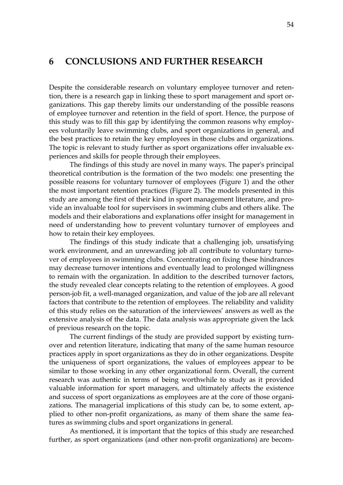## <span id="page-53-0"></span>**6 CONCLUSIONS AND FURTHER RESEARCH**

Despite the considerable research on voluntary employee turnover and retention, there is a research gap in linking these to sport management and sport organizations. This gap thereby limits our understanding of the possible reasons of employee turnover and retention in the field of sport. Hence, the purpose of this study was to fill this gap by identifying the common reasons why employees voluntarily leave swimming clubs, and sport organizations in general, and the best practices to retain the key employees in those clubs and organizations. The topic is relevant to study further as sport organizations offer invaluable experiences and skills for people through their employees.

The findings of this study are novel in many ways. The paper's principal theoretical contribution is the formation of the two models: one presenting the possible reasons for voluntary turnover of employees (Figure 1) and the other the most important retention practices (Figure 2). The models presented in this study are among the first of their kind in sport management literature, and provide an invaluable tool for supervisors in swimming clubs and others alike. The models and their elaborations and explanations offer insight for management in need of understanding how to prevent voluntary turnover of employees and how to retain their key employees.

The findings of this study indicate that a challenging job, unsatisfying work environment, and an unrewarding job all contribute to voluntary turnover of employees in swimming clubs. Concentrating on fixing these hindrances may decrease turnover intentions and eventually lead to prolonged willingness to remain with the organization. In addition to the described turnover factors, the study revealed clear concepts relating to the retention of employees. A good person-job fit, a well-managed organization, and value of the job are all relevant factors that contribute to the retention of employees. The reliability and validity of this study relies on the saturation of the interviewees' answers as well as the extensive analysis of the data. The data analysis was appropriate given the lack of previous research on the topic.

The current findings of the study are provided support by existing turnover and retention literature, indicating that many of the same human resource practices apply in sport organizations as they do in other organizations. Despite the uniqueness of sport organizations, the values of employees appear to be similar to those working in any other organizational form. Overall, the current research was authentic in terms of being worthwhile to study as it provided valuable information for sport managers, and ultimately affects the existence and success of sport organizations as employees are at the core of those organizations. The managerial implications of this study can be, to some extent, applied to other non-profit organizations, as many of them share the same features as swimming clubs and sport organizations in general.

As mentioned, it is important that the topics of this study are researched further, as sport organizations (and other non-profit organizations) are becom-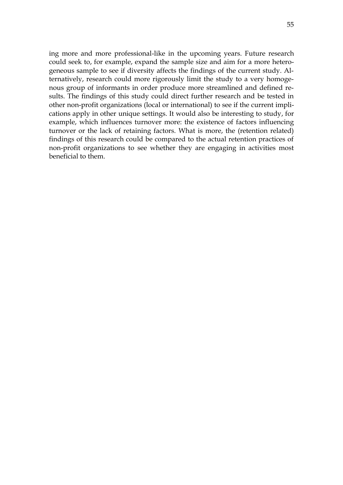ing more and more professional-like in the upcoming years. Future research could seek to, for example, expand the sample size and aim for a more heterogeneous sample to see if diversity affects the findings of the current study. Alternatively, research could more rigorously limit the study to a very homogenous group of informants in order produce more streamlined and defined results. The findings of this study could direct further research and be tested in other non-profit organizations (local or international) to see if the current implications apply in other unique settings. It would also be interesting to study, for example, which influences turnover more: the existence of factors influencing turnover or the lack of retaining factors. What is more, the (retention related) findings of this research could be compared to the actual retention practices of non-profit organizations to see whether they are engaging in activities most beneficial to them.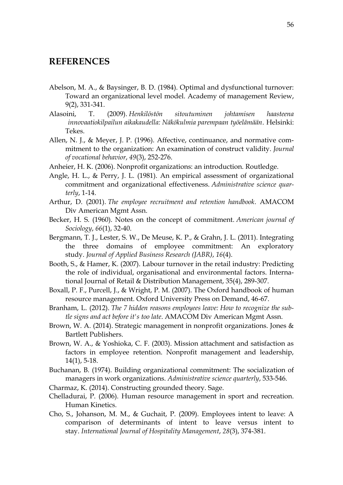## <span id="page-55-0"></span>**REFERENCES**

- Abelson, M. A., & Baysinger, B. D. (1984). Optimal and dysfunctional turnover: Toward an organizational level model. Academy of management Review, 9(2), 331-341.
- Alasoini, T. (2009). *Henkilöstön sitoutuminen johtamisen haasteena innovaatiokilpailun aikakaudella: Näkökulmia parempaan työelämään*. Helsinki: Tekes.
- Allen, N. J., & Meyer, J. P. (1996). Affective, continuance, and normative commitment to the organization: An examination of construct validity. *Journal of vocational behavior*, *49*(3), 252-276.
- Anheier, H. K. (2006). Nonprofit organizations: an introduction. Routledge.
- Angle, H. L., & Perry, J. L. (1981). An empirical assessment of organizational commitment and organizational effectiveness. *Administrative science quarterly*, 1-14.
- Arthur, D. (2001). *The employee recruitment and retention handbook*. AMACOM Div American Mgmt Assn.
- Becker, H. S. (1960). Notes on the concept of commitment. *American journal of Sociology*, *66*(1), 32-40.
- Bergmann, T. J., Lester, S. W., De Meuse, K. P., & Grahn, J. L. (2011). Integrating the three domains of employee commitment: An exploratory study. *Journal of Applied Business Research (JABR)*, *16*(4).
- Booth, S., & Hamer, K. (2007). Labour turnover in the retail industry: Predicting the role of individual, organisational and environmental factors. International Journal of Retail & Distribution Management, 35(4), 289-307.
- Boxall, P. F., Purcell, J., & Wright, P. M. (2007). The Oxford handbook of human resource management. Oxford University Press on Demand, 46-67.
- Branham, L. (2012). *The 7 hidden reasons employees leave: How to recognize the subtle signs and act before it's too late*. AMACOM Div American Mgmt Assn.
- Brown, W. A. (2014). Strategic management in nonprofit organizations. Jones & Bartlett Publishers.
- Brown, W. A., & Yoshioka, C. F. (2003). Mission attachment and satisfaction as factors in employee retention. Nonprofit management and leadership, 14(1), 5-18.
- Buchanan, B. (1974). Building organizational commitment: The socialization of managers in work organizations. *Administrative science quarterly*, 533-546.
- Charmaz, K. (2014). Constructing grounded theory. Sage.
- Chelladurai, P. (2006). Human resource management in sport and recreation. Human Kinetics.
- Cho, S., Johanson, M. M., & Guchait, P. (2009). Employees intent to leave: A comparison of determinants of intent to leave versus intent to stay. *International Journal of Hospitality Management*, *28*(3), 374-381.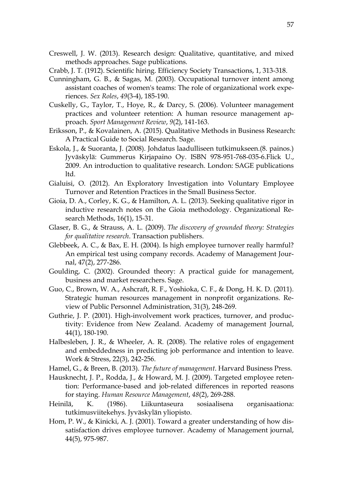- Creswell, J. W. (2013). Research design: Qualitative, quantitative, and mixed methods approaches. Sage publications.
- Crabb, J. T. (1912). Scientific hiring. Efficiency Society Transactions, 1, 313-318.
- Cunningham, G. B., & Sagas, M. (2003). Occupational turnover intent among assistant coaches of women's teams: The role of organizational work experiences. *Sex Roles*, *49*(3-4), 185-190.
- Cuskelly, G., Taylor, T., Hoye, R., & Darcy, S. (2006). Volunteer management practices and volunteer retention: A human resource management approach. *Sport Management Review*, *9*(2), 141-163.
- Eriksson, P., & Kovalainen, A. (2015). Qualitative Methods in Business Research: A Practical Guide to Social Research. Sage.
- Eskola, J., & Suoranta, J. (2008). Johdatus laadulliseen tutkimukseen.(8. painos.) Jyväskylä: Gummerus Kirjapaino Oy. ISBN 978-951-768-035-6.Flick U., 2009. An introduction to qualitative research. London: SAGE publications ltd.
- Gialuisi, O. (2012). An Exploratory Investigation into Voluntary Employee Turnover and Retention Practices in the Small Business Sector.
- Gioia, D. A., Corley, K. G., & Hamilton, A. L. (2013). Seeking qualitative rigor in inductive research notes on the Gioia methodology. Organizational Research Methods, 16(1), 15-31.
- Glaser, B. G., & Strauss, A. L. (2009). *The discovery of grounded theory: Strategies for qualitative research*. Transaction publishers.
- Glebbeek, A. C., & Bax, E. H. (2004). Is high employee turnover really harmful? An empirical test using company records. Academy of Management Journal, 47(2), 277-286.
- Goulding, C. (2002). Grounded theory: A practical guide for management, business and market researchers. Sage.
- Guo, C., Brown, W. A., Ashcraft, R. F., Yoshioka, C. F., & Dong, H. K. D. (2011). Strategic human resources management in nonprofit organizations. Review of Public Personnel Administration, 31(3), 248-269.
- Guthrie, J. P. (2001). High-involvement work practices, turnover, and productivity: Evidence from New Zealand. Academy of management Journal, 44(1), 180-190.
- Halbesleben, J. R., & Wheeler, A. R. (2008). The relative roles of engagement and embeddedness in predicting job performance and intention to leave. Work & Stress, 22(3), 242-256.
- Hamel, G., & Breen, B. (2013). *The future of management*. Harvard Business Press.
- Hausknecht, J. P., Rodda, J., & Howard, M. J. (2009). Targeted employee retention: Performance‐based and job‐related differences in reported reasons for staying. *Human Resource Management*, *48*(2), 269-288.
- Heinilä, K. (1986). Liikuntaseura sosiaalisena organisaationa: tutkimusviitekehys. Jyväskylän yliopisto.
- Hom, P. W., & Kinicki, A. J. (2001). Toward a greater understanding of how dissatisfaction drives employee turnover. Academy of Management journal, 44(5), 975-987.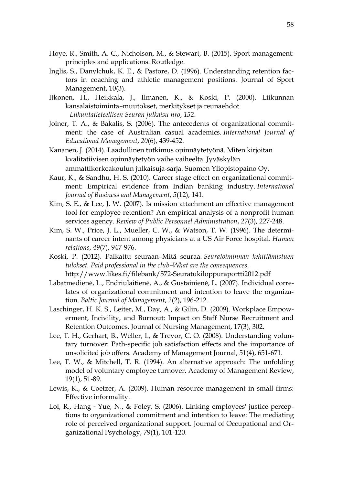- Hoye, R., Smith, A. C., Nicholson, M., & Stewart, B. (2015). Sport management: principles and applications. Routledge.
- Inglis, S., Danylchuk, K. E., & Pastore, D. (1996). Understanding retention factors in coaching and athletic management positions. Journal of Sport Management, 10(3).
- Itkonen, H., Heikkala, J., Ilmanen, K., & Koski, P. (2000). Liikunnan kansalaistoiminta–muutokset, merkitykset ja reunaehdot. *Liikuntatieteellisen Seuran julkaisu nro*, *152*.
- Joiner, T. A., & Bakalis, S. (2006). The antecedents of organizational commitment: the case of Australian casual academics. *International Journal of Educational Management*, *20*(6), 439-452.
- Kananen, J. (2014). Laadullinen tutkimus opinnäytetyönä. Miten kirjoitan kvalitatiivisen opinnäytetyön vaihe vaiheelta. Jyväskylän ammattikorkeakoulun julkaisuja-sarja. Suomen Yliopistopaino Oy.
- Kaur, K., & Sandhu, H. S. (2010). Career stage effect on organizational commitment: Empirical evidence from Indian banking industry. *International Journal of Business and Management*, *5*(12), 141.
- Kim, S. E., & Lee, J. W. (2007). Is mission attachment an effective management tool for employee retention? An empirical analysis of a nonprofit human services agency. *Review of Public Personnel Administration*, *27*(3), 227-248.
- Kim, S. W., Price, J. L., Mueller, C. W., & Watson, T. W. (1996). The determinants of career intent among physicians at a US Air Force hospital. *Human relations*, *49*(7), 947-976.
- Koski, P. (2012). Palkattu seuraan–Mitä seuraa. *Seuratoiminnan kehittämistuen tulokset. Paid professional in the club–What are the consequences*. http://www.likes.fi/filebank/572-Seuratukiloppuraportti2012.pdf
- Labatmedienė, L., Endriulaitienė, A., & Gustainienė, L. (2007). Individual correlates of organizational commitment and intention to leave the organization. *Baltic Journal of Management*, *2*(2), 196-212.
- Laschinger, H. K. S., Leiter, M., Day, A., & Gilin, D. (2009). Workplace Empowerment, Incivility, and Burnout: Impact on Staff Nurse Recruitment and Retention Outcomes. Journal of Nursing Management, 17(3), 302.
- Lee, T. H., Gerhart, B., Weller, I., & Trevor, C. O. (2008). Understanding voluntary turnover: Path-specific job satisfaction effects and the importance of unsolicited job offers. Academy of Management Journal, 51(4), 651-671.
- Lee, T. W., & Mitchell, T. R. (1994). An alternative approach: The unfolding model of voluntary employee turnover. Academy of Management Review, 19(1), 51-89.
- Lewis, K., & Coetzer, A. (2009). Human resource management in small firms: Effective informality.
- Loi, R., Hang‐Yue, N., & Foley, S. (2006). Linking employees' justice perceptions to organizational commitment and intention to leave: The mediating role of perceived organizational support. Journal of Occupational and Organizational Psychology, 79(1), 101-120.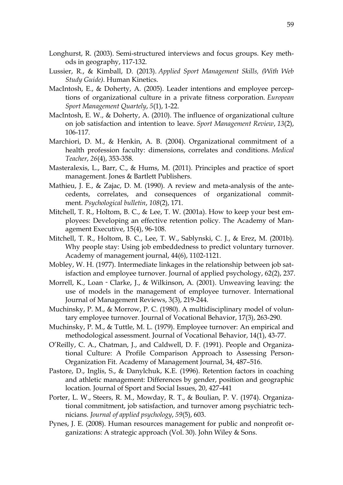- Longhurst, R. (2003). Semi-structured interviews and focus groups. Key methods in geography, 117-132.
- Lussier, R., & Kimball, D. (2013). *Applied Sport Management Skills, (With Web Study Guide)*. Human Kinetics.
- MacIntosh, E., & Doherty, A. (2005). Leader intentions and employee perceptions of organizational culture in a private fitness corporation. *European Sport Management Quartely*, *5*(1), 1-22.
- MacIntosh, E. W., & Doherty, A. (2010). The influence of organizational culture on job satisfaction and intention to leave. *Sport Management Review*, *13*(2), 106-117.
- Marchiori, D. M., & Henkin, A. B. (2004). Organizational commitment of a health profession faculty: dimensions, correlates and conditions. *Medical Teacher*, *26*(4), 353-358.
- Masteralexis, L., Barr, C., & Hums, M. (2011). Principles and practice of sport management. Jones & Bartlett Publishers.
- Mathieu, J. E., & Zajac, D. M. (1990). A review and meta-analysis of the antecedents, correlates, and consequences of organizational commitment. *Psychological bulletin*, *108*(2), 171.
- Mitchell, T. R., Holtom, B. C., & Lee, T. W. (2001a). How to keep your best employees: Developing an effective retention policy. The Academy of Management Executive, 15(4), 96-108.
- Mitchell, T. R., Holtom, B. C., Lee, T. W., Sablynski, C. J., & Erez, M. (2001b). Why people stay: Using job embeddedness to predict voluntary turnover. Academy of management journal, 44(6), 1102-1121.
- Mobley, W. H. (1977). Intermediate linkages in the relationship between job satisfaction and employee turnover. Journal of applied psychology, 62(2), 237.
- Morrell, K., Loan‐Clarke, J., & Wilkinson, A. (2001). Unweaving leaving: the use of models in the management of employee turnover. International Journal of Management Reviews, 3(3), 219-244.
- Muchinsky, P. M., & Morrow, P. C. (1980). A multidisciplinary model of voluntary employee turnover. Journal of Vocational Behavior, 17(3), 263-290.
- Muchinsky, P. M., & Tuttle, M. L. (1979). Employee turnover: An empirical and methodological assessment. Journal of Vocational Behavior, 14(1), 43-77.
- O'Reilly, C. A., Chatman, J., and Caldwell, D. F. (1991). People and Organizational Culture: A Profile Comparison Approach to Assessing Person-Organization Fit. Academy of Management Journal, 34, 487–516.
- Pastore, D., Inglis, S., & Danylchuk, K.E. (1996). Retention factors in coaching and athletic management: Differences by gender, position and geographic location. Journal of Sport and Social Issues, 20, 427-441
- Porter, L. W., Steers, R. M., Mowday, R. T., & Boulian, P. V. (1974). Organizational commitment, job satisfaction, and turnover among psychiatric technicians. *Journal of applied psychology*, *59*(5), 603.
- Pynes, J. E. (2008). Human resources management for public and nonprofit organizations: A strategic approach (Vol. 30). John Wiley & Sons.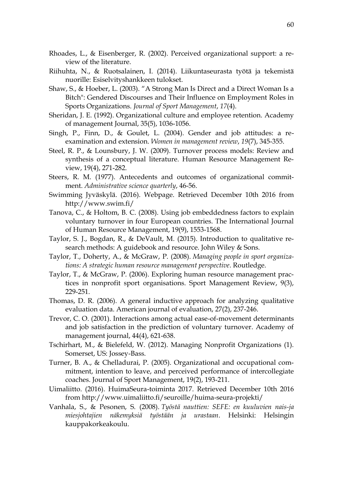- Rhoades, L., & Eisenberger, R. (2002). Perceived organizational support: a review of the literature.
- Riihuhta, N., & Ruotsalainen, I. (2014). Liikuntaseurasta työtä ja tekemistä nuorille: Esiselvityshankkeen tulokset.
- Shaw, S., & Hoeber, L. (2003). "A Strong Man Is Direct and a Direct Woman Is a Bitch": Gendered Discourses and Their Influence on Employment Roles in Sports Organizations. *Journal of Sport Management*, *17*(4).
- Sheridan, J. E. (1992). Organizational culture and employee retention. Academy of management Journal, 35(5), 1036-1056.
- Singh, P., Finn, D., & Goulet, L. (2004). Gender and job attitudes: a reexamination and extension. *Women in management review*, *19*(7), 345-355.
- Steel, R. P., & Lounsbury, J. W. (2009). Turnover process models: Review and synthesis of a conceptual literature. Human Resource Management Review, 19(4), 271-282.
- Steers, R. M. (1977). Antecedents and outcomes of organizational commitment. *Administrative science quarterly*, 46-56.
- Swimming Jyväskylä. (2016). Webpage. Retrieved December 10th 2016 from http://www.swim.fi/
- Tanova, C., & Holtom, B. C. (2008). Using job embeddedness factors to explain voluntary turnover in four European countries. The International Journal of Human Resource Management, 19(9), 1553-1568.
- Taylor, S. J., Bogdan, R., & DeVault, M. (2015). Introduction to qualitative research methods: A guidebook and resource. John Wiley & Sons.
- Taylor, T., Doherty, A., & McGraw, P. (2008). *Managing people in sport organizations: A strategic human resource management perspective*. Routledge.
- Taylor, T., & McGraw, P. (2006). Exploring human resource management practices in nonprofit sport organisations. Sport Management Review, 9(3), 229-251.
- Thomas, D. R. (2006). A general inductive approach for analyzing qualitative evaluation data. American journal of evaluation, 27(2), 237-246.
- Trevor, C. O. (2001). Interactions among actual ease-of-movement determinants and job satisfaction in the prediction of voluntary turnover. Academy of management journal, 44(4), 621-638.
- Tschirhart, M., & Bielefeld, W. (2012). Managing Nonprofit Organizations (1). Somerset, US: Jossey-Bass.
- Turner, B. A., & Chelladurai, P. (2005). Organizational and occupational commitment, intention to leave, and perceived performance of intercollegiate coaches. Journal of Sport Management, 19(2), 193-211.
- Uimaliitto. (2016). HuimaSeura-toiminta 2017. Retrieved December 10th 2016 from<http://www.uimaliitto.fi/seuroille/huima-seura-projekti/>
- Vanhala, S., & Pesonen, S. (2008). *Työstä nauttien: SEFE: en kuuluvien nais-ja miesjohtajien näkemyksiä työstään ja urastaan*. Helsinki: Helsingin kauppakorkeakoulu.